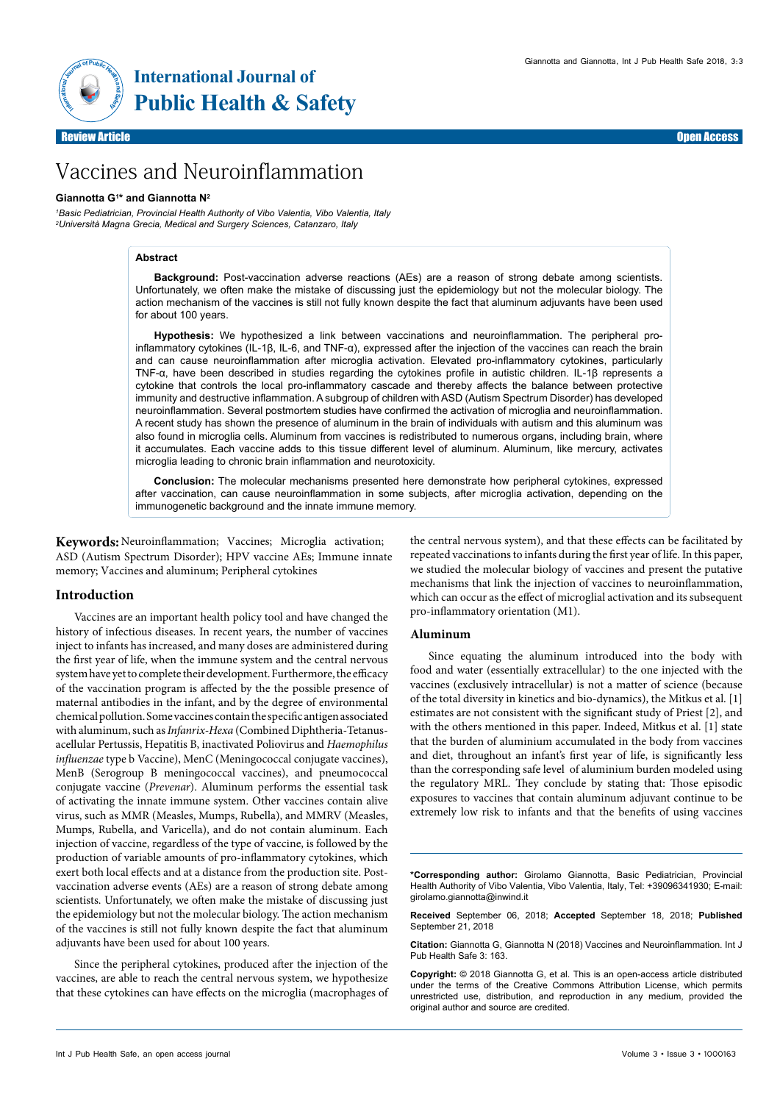

*1 Basic Pediatrician, Provincial Health Authority of Vibo Valentia, Vibo Valentia, Italy 2Università Magna Grecia, Medical and Surgery Sciences, Catanzaro, Italy*

### **Abstract**

**Background:** Post-vaccination adverse reactions (AEs) are a reason of strong debate among scientists. Unfortunately, we often make the mistake of discussing just the epidemiology but not the molecular biology. The action mechanism of the vaccines is still not fully known despite the fact that aluminum adjuvants have been used for about 100 years.

**Hypothesis:** We hypothesized a link between vaccinations and neuroinflammation. The peripheral proinflammatory cytokines (IL-1β, IL-6, and TNF-α), expressed after the injection of the vaccines can reach the brain and can cause neuroinflammation after microglia activation. Elevated pro-inflammatory cytokines, particularly TNF-α, have been described in studies regarding the cytokines profile in autistic children. IL-1β represents a cytokine that controls the local pro-inflammatory cascade and thereby affects the balance between protective immunity and destructive inflammation. A subgroup of children with ASD (Autism Spectrum Disorder) has developed neuroinflammation. Several postmortem studies have confirmed the activation of microglia and neuroinflammation. A recent study has shown the presence of aluminum in the brain of individuals with autism and this aluminum was also found in microglia cells. Aluminum from vaccines is redistributed to numerous organs, including brain, where it accumulates. Each vaccine adds to this tissue different level of aluminum. Aluminum, like mercury, activates microglia leading to chronic brain inflammation and neurotoxicity.

**Conclusion:** The molecular mechanisms presented here demonstrate how peripheral cytokines, expressed after vaccination, can cause neuroinflammation in some subjects, after microglia activation, depending on the immunogenetic background and the innate immune memory.

**Keywords:** Neuroinflammation; Vaccines; Microglia activation; ASD (Autism Spectrum Disorder); HPV vaccine AEs; Immune innate memory; Vaccines and aluminum; Peripheral cytokines

### **Introduction**

Vaccines are an important health policy tool and have changed the history of infectious diseases. In recent years, the number of vaccines inject to infants has increased, and many doses are administered during the first year of life, when the immune system and the central nervous system have yet to complete their development. Furthermore, the efficacy of the vaccination program is affected by the the possible presence of maternal antibodies in the infant, and by the degree of environmental chemical pollution. Some vaccines contain the specific antigen associated with aluminum, such as *Infanrix-Hexa* (Combined Diphtheria-Tetanusacellular Pertussis, Hepatitis B, inactivated Poliovirus and *Haemophilus influenzae* type b Vaccine), MenC (Meningococcal conjugate vaccines), MenB (Serogroup B meningococcal vaccines), and pneumococcal conjugate vaccine (*Prevenar*). Aluminum performs the essential task of activating the innate immune system. Other vaccines contain alive virus, such as MMR (Measles, Mumps, Rubella), and MMRV (Measles, Mumps, Rubella, and Varicella), and do not contain aluminum. Each injection of vaccine, regardless of the type of vaccine, is followed by the production of variable amounts of pro-inflammatory cytokines, which exert both local effects and at a distance from the production site. Postvaccination adverse events (AEs) are a reason of strong debate among scientists. Unfortunately, we often make the mistake of discussing just the epidemiology but not the molecular biology. The action mechanism of the vaccines is still not fully known despite the fact that aluminum adjuvants have been used for about 100 years.

Since the peripheral cytokines, produced after the injection of the vaccines, are able to reach the central nervous system, we hypothesize that these cytokines can have effects on the microglia (macrophages of the central nervous system), and that these effects can be facilitated by repeated vaccinations to infants during the first year of life. In this paper, we studied the molecular biology of vaccines and present the putative mechanisms that link the injection of vaccines to neuroinflammation, which can occur as the effect of microglial activation and its subsequent pro-inflammatory orientation (M1).

### **Aluminum**

Since equating the aluminum introduced into the body with food and water (essentially extracellular) to the one injected with the vaccines (exclusively intracellular) is not a matter of science (because of the total diversity in kinetics and bio-dynamics), the Mitkus et al. [1] estimates are not consistent with the significant study of Priest [2], and with the others mentioned in this paper. Indeed, Mitkus et al. [1] state that the burden of aluminium accumulated in the body from vaccines and diet, throughout an infant's first year of life, is significantly less than the corresponding safe level of aluminium burden modeled using the regulatory MRL. They conclude by stating that: Those episodic exposures to vaccines that contain aluminum adjuvant continue to be extremely low risk to infants and that the benefits of using vaccines

**\*Corresponding author:** Girolamo Giannotta, Basic Pediatrician, Provincial Health Authority of Vibo Valentia, Vibo Valentia, Italy, Tel: +39096341930; E-mail: girolamo.giannotta@inwind.it

**Received** September 06, 2018; **Accepted** September 18, 2018; **Published** September 21, 2018

**Citation:** Giannotta G, Giannotta N (2018) Vaccines and Neuroinflammation. Int J Pub Health Safe 3: 163.

**Copyright:** © 2018 Giannotta G, et al. This is an open-access article distributed under the terms of the Creative Commons Attribution License, which permits unrestricted use, distribution, and reproduction in any medium, provided the original author and source are credited.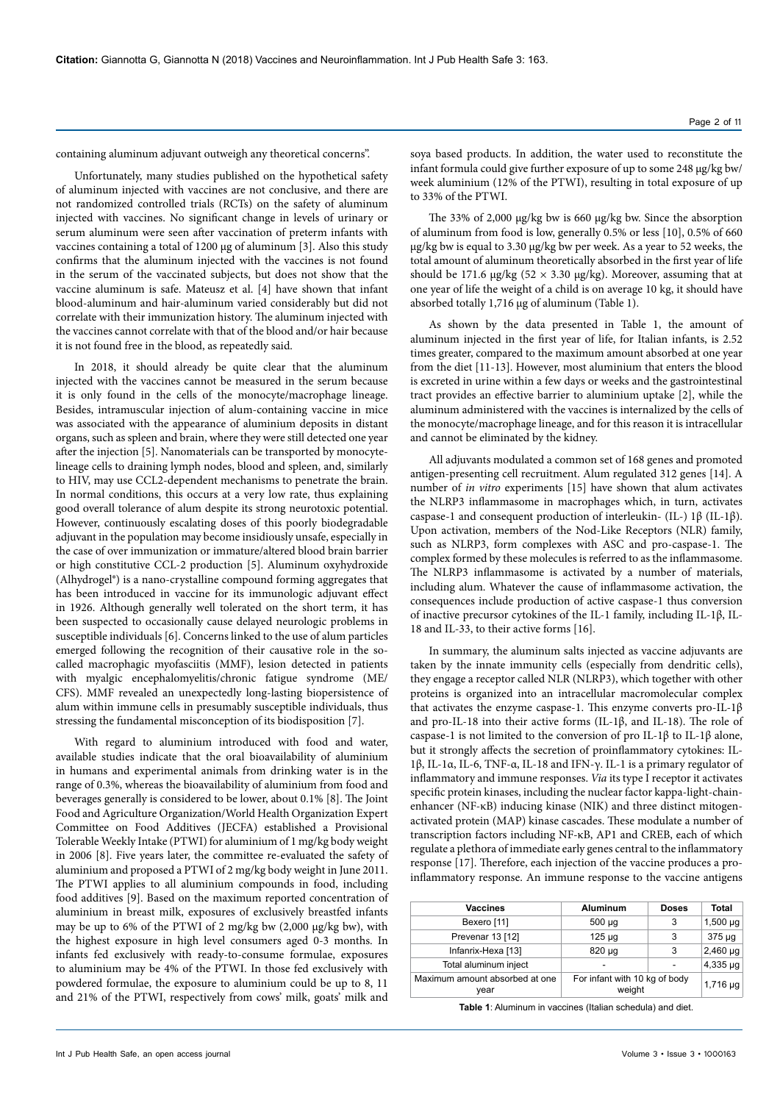containing aluminum adjuvant outweigh any theoretical concerns".

Unfortunately, many studies published on the hypothetical safety of aluminum injected with vaccines are not conclusive, and there are not randomized controlled trials (RCTs) on the safety of aluminum injected with vaccines. No significant change in levels of urinary or serum aluminum were seen after vaccination of preterm infants with vaccines containing a total of 1200 µg of aluminum [3]. Also this study confirms that the aluminum injected with the vaccines is not found in the serum of the vaccinated subjects, but does not show that the vaccine aluminum is safe. Mateusz et al. [4] have shown that infant blood-aluminum and hair-aluminum varied considerably but did not correlate with their immunization history. The aluminum injected with the vaccines cannot correlate with that of the blood and/or hair because it is not found free in the blood, as repeatedly said.

In 2018, it should already be quite clear that the aluminum injected with the vaccines cannot be measured in the serum because it is only found in the cells of the monocyte/macrophage lineage. Besides, intramuscular injection of alum-containing vaccine in mice was associated with the appearance of aluminium deposits in distant organs, such as spleen and brain, where they were still detected one year after the injection [5]. Nanomaterials can be transported by monocytelineage cells to draining lymph nodes, blood and spleen, and, similarly to HIV, may use CCL2-dependent mechanisms to penetrate the brain. In normal conditions, this occurs at a very low rate, thus explaining good overall tolerance of alum despite its strong neurotoxic potential. However, continuously escalating doses of this poorly biodegradable adjuvant in the population may become insidiously unsafe, especially in the case of over immunization or immature/altered blood brain barrier or high constitutive CCL-2 production [5]. Aluminum oxyhydroxide (Alhydrogel®) is a nano-crystalline compound forming aggregates that has been introduced in vaccine for its immunologic adjuvant effect in 1926. Although generally well tolerated on the short term, it has been suspected to occasionally cause delayed neurologic problems in susceptible individuals [6]. Concerns linked to the use of alum particles emerged following the recognition of their causative role in the socalled macrophagic myofasciitis (MMF), lesion detected in patients with myalgic encephalomyelitis/chronic fatigue syndrome (ME/ CFS). MMF revealed an unexpectedly long-lasting biopersistence of alum within immune cells in presumably susceptible individuals, thus stressing the fundamental misconception of its biodisposition [7].

With regard to aluminium introduced with food and water, available studies indicate that the oral bioavailability of aluminium in humans and experimental animals from drinking water is in the range of 0.3%, whereas the bioavailability of aluminium from food and beverages generally is considered to be lower, about 0.1% [8]. The Joint Food and Agriculture Organization/World Health Organization Expert Committee on Food Additives (JECFA) established a Provisional Tolerable Weekly Intake (PTWI) for aluminium of 1 mg/kg body weight in 2006 [8]. Five years later, the committee re-evaluated the safety of aluminium and proposed a PTWI of 2 mg/kg body weight in June 2011. The PTWI applies to all aluminium compounds in food, including food additives [9]. Based on the maximum reported concentration of aluminium in breast milk, exposures of exclusively breastfed infants may be up to 6% of the PTWI of 2 mg/kg bw (2,000 µg/kg bw), with the highest exposure in high level consumers aged 0-3 months. In infants fed exclusively with ready-to-consume formulae, exposures to aluminium may be 4% of the PTWI. In those fed exclusively with powdered formulae, the exposure to aluminium could be up to 8, 11 and 21% of the PTWI, respectively from cows' milk, goats' milk and

soya based products. In addition, the water used to reconstitute the infant formula could give further exposure of up to some 248 µg/kg bw/ week aluminium (12% of the PTWI), resulting in total exposure of up to 33% of the PTWI.

The 33% of 2,000 μg/kg bw is 660 μg/kg bw. Since the absorption of aluminum from food is low, generally 0.5% or less [10], 0.5% of 660 μg/kg bw is equal to 3.30 μg/kg bw per week. As a year to 52 weeks, the total amount of aluminum theoretically absorbed in the first year of life should be 171.6 μg/kg (52  $\times$  3.30 μg/kg). Moreover, assuming that at one year of life the weight of a child is on average 10 kg, it should have absorbed totally 1,716 μg of aluminum (Table 1).

As shown by the data presented in Table 1, the amount of aluminum injected in the first year of life, for Italian infants, is 2.52 times greater, compared to the maximum amount absorbed at one year from the diet [11-13]. However, most aluminium that enters the blood is excreted in urine within a few days or weeks and the gastrointestinal tract provides an effective barrier to aluminium uptake [2], while the aluminum administered with the vaccines is internalized by the cells of the monocyte/macrophage lineage, and for this reason it is intracellular and cannot be eliminated by the kidney.

All adjuvants modulated a common set of 168 genes and promoted antigen-presenting cell recruitment. Alum regulated 312 genes [14]. A number of *in vitro* experiments [15] have shown that alum activates the NLRP3 inflammasome in macrophages which, in turn, activates caspase-1 and consequent production of interleukin- (IL-) 1β (IL-1β). Upon activation, members of the Nod-Like Receptors (NLR) family, such as NLRP3, form complexes with ASC and pro-caspase-1. The complex formed by these molecules is referred to as the inflammasome. The NLRP3 inflammasome is activated by a number of materials, including alum. Whatever the cause of inflammasome activation, the consequences include production of active caspase-1 thus conversion of inactive precursor cytokines of the IL-1 family, including IL-1β, IL-18 and IL-33, to their active forms [16].

In summary, the aluminum salts injected as vaccine adjuvants are taken by the innate immunity cells (especially from dendritic cells), they engage a receptor called NLR (NLRP3), which together with other proteins is organized into an intracellular macromolecular complex that activates the enzyme caspase-1. This enzyme converts pro-IL-1β and pro-IL-18 into their active forms (IL-1β, and IL-18). The role of caspase-1 is not limited to the conversion of pro IL-1β to IL-1β alone, but it strongly affects the secretion of proinflammatory cytokines: IL-1β, IL-1α, IL-6, TNF-α, IL-18 and IFN-γ. IL-1 is a primary regulator of inflammatory and immune responses. *Via* its type I receptor it activates specific protein kinases, including the nuclear factor kappa-light-chainenhancer (NF-κB) inducing kinase (NIK) and three distinct mitogenactivated protein (MAP) kinase cascades. These modulate a number of transcription factors including NF-κB, AP1 and CREB, each of which regulate a plethora of immediate early genes central to the inflammatory response [17]. Therefore, each injection of the vaccine produces a proinflammatory response. An immune response to the vaccine antigens

| <b>Vaccines</b>                        | <b>Aluminum</b>                         | <b>Doses</b> |               |
|----------------------------------------|-----------------------------------------|--------------|---------------|
| Bexero [11]                            | $500 \mu g$                             | 3            | $1,500 \mu g$ |
| Prevenar 13 [12]                       | $125 \mu g$                             | 3            | $375 \mu g$   |
| Infanrix-Hexa [13]                     | 820 µg                                  | 3            | $2,460 \mu g$ |
| Total aluminum inject                  |                                         |              | $4,335 \mu g$ |
| Maximum amount absorbed at one<br>vear | For infant with 10 kg of body<br>weight |              | 1,716 µg      |

**Table 1**: Aluminum in vaccines (Italian schedula) and diet.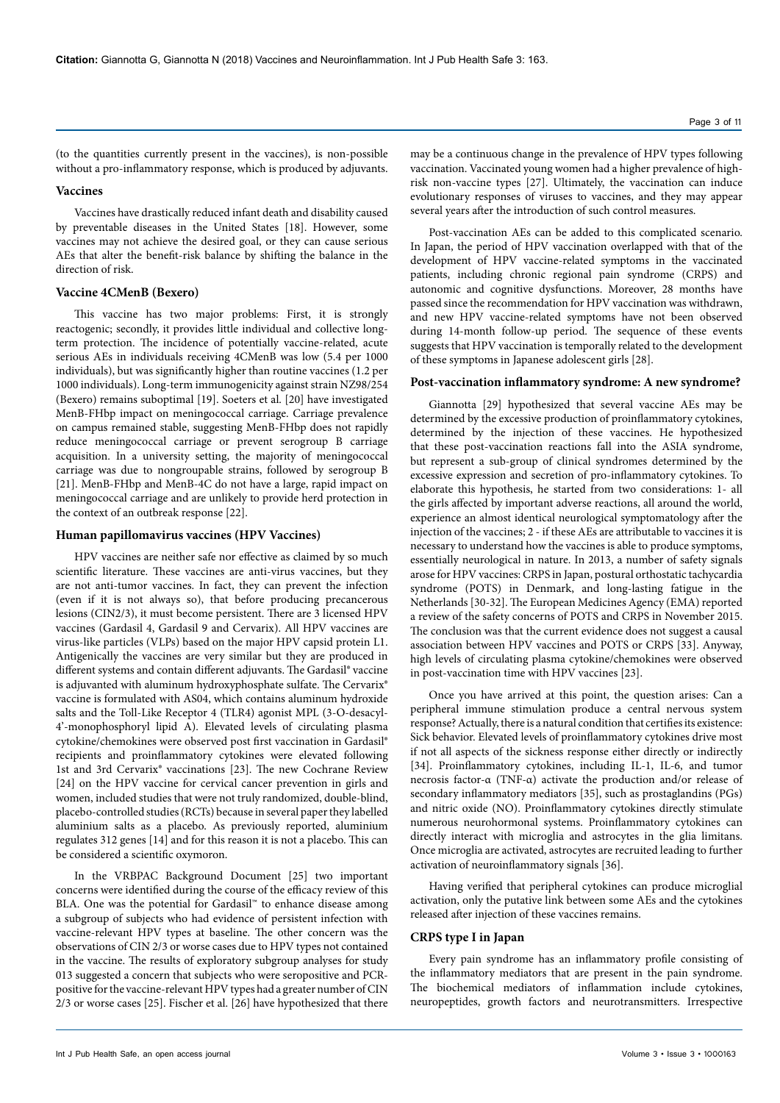(to the quantities currently present in the vaccines), is non-possible without a pro-inflammatory response, which is produced by adjuvants.

## **Vaccines**

Vaccines have drastically reduced infant death and disability caused by preventable diseases in the United States [18]. However, some vaccines may not achieve the desired goal, or they can cause serious AEs that alter the benefit-risk balance by shifting the balance in the direction of risk.

# **Vaccine 4CMenB (Bexero)**

This vaccine has two major problems: First, it is strongly reactogenic; secondly, it provides little individual and collective longterm protection. The incidence of potentially vaccine-related, acute serious AEs in individuals receiving 4CMenB was low (5.4 per 1000 individuals), but was significantly higher than routine vaccines (1.2 per 1000 individuals). Long-term immunogenicity against strain NZ98/254 (Bexero) remains suboptimal [19]. Soeters et al. [20] have investigated MenB-FHbp impact on meningococcal carriage. Carriage prevalence on campus remained stable, suggesting MenB-FHbp does not rapidly reduce meningococcal carriage or prevent serogroup B carriage acquisition. In a university setting, the majority of meningococcal carriage was due to nongroupable strains, followed by serogroup B [21]. MenB-FHbp and MenB-4C do not have a large, rapid impact on meningococcal carriage and are unlikely to provide herd protection in the context of an outbreak response [22].

# **Human papillomavirus vaccines (HPV Vaccines)**

HPV vaccines are neither safe nor effective as claimed by so much scientific literature. These vaccines are anti-virus vaccines, but they are not anti-tumor vaccines. In fact, they can prevent the infection (even if it is not always so), that before producing precancerous lesions (CIN2/3), it must become persistent. There are 3 licensed HPV vaccines (Gardasil 4, Gardasil 9 and Cervarix). All HPV vaccines are virus-like particles (VLPs) based on the major HPV capsid protein L1. Antigenically the vaccines are very similar but they are produced in different systems and contain different adjuvants. The Gardasil® vaccine is adjuvanted with aluminum hydroxyphosphate sulfate. The Cervarix® vaccine is formulated with AS04, which contains aluminum hydroxide salts and the Toll-Like Receptor 4 (TLR4) agonist MPL (3-O-desacyl-4'-monophosphoryl lipid A). Elevated levels of circulating plasma cytokine/chemokines were observed post first vaccination in Gardasil® recipients and proinflammatory cytokines were elevated following 1st and 3rd Cervarix® vaccinations [23]. The new Cochrane Review [24] on the HPV vaccine for cervical cancer prevention in girls and women, included studies that were not truly randomized, double-blind, placebo-controlled studies (RCTs) because in several paper they labelled aluminium salts as a placebo. As previously reported, aluminium regulates 312 genes [14] and for this reason it is not a placebo. This can be considered a scientific oxymoron.

In the VRBPAC Background Document [25] two important concerns were identified during the course of the efficacy review of this BLA. One was the potential for Gardasil™ to enhance disease among a subgroup of subjects who had evidence of persistent infection with vaccine-relevant HPV types at baseline. The other concern was the observations of CIN 2/3 or worse cases due to HPV types not contained in the vaccine. The results of exploratory subgroup analyses for study 013 suggested a concern that subjects who were seropositive and PCRpositive for the vaccine-relevant HPV types had a greater number of CIN 2/3 or worse cases [25]. Fischer et al. [26] have hypothesized that there

may be a continuous change in the prevalence of HPV types following vaccination. Vaccinated young women had a higher prevalence of highrisk non-vaccine types [27]. Ultimately, the vaccination can induce evolutionary responses of viruses to vaccines, and they may appear several years after the introduction of such control measures.

Post-vaccination AEs can be added to this complicated scenario. In Japan, the period of HPV vaccination overlapped with that of the development of HPV vaccine-related symptoms in the vaccinated patients, including chronic regional pain syndrome (CRPS) and autonomic and cognitive dysfunctions. Moreover, 28 months have passed since the recommendation for HPV vaccination was withdrawn, and new HPV vaccine-related symptoms have not been observed during 14-month follow-up period. The sequence of these events suggests that HPV vaccination is temporally related to the development of these symptoms in Japanese adolescent girls [28].

## **Post-vaccination inflammatory syndrome: A new syndrome?**

Giannotta [29] hypothesized that several vaccine AEs may be determined by the excessive production of proinflammatory cytokines, determined by the injection of these vaccines. He hypothesized that these post-vaccination reactions fall into the ASIA syndrome, but represent a sub-group of clinical syndromes determined by the excessive expression and secretion of pro-inflammatory cytokines. To elaborate this hypothesis, he started from two considerations: 1- all the girls affected by important adverse reactions, all around the world, experience an almost identical neurological symptomatology after the injection of the vaccines; 2 - if these AEs are attributable to vaccines it is necessary to understand how the vaccines is able to produce symptoms, essentially neurological in nature. In 2013, a number of safety signals arose for HPV vaccines: CRPS in Japan, postural orthostatic tachycardia syndrome (POTS) in Denmark, and long-lasting fatigue in the Netherlands [30-32]. The European Medicines Agency (EMA) reported a review of the safety concerns of POTS and CRPS in November 2015. The conclusion was that the current evidence does not suggest a causal association between HPV vaccines and POTS or CRPS [33]. Anyway, high levels of circulating plasma cytokine/chemokines were observed in post-vaccination time with HPV vaccines [23].

Once you have arrived at this point, the question arises: Can a peripheral immune stimulation produce a central nervous system response? Actually, there is a natural condition that certifies its existence: Sick behavior. Elevated levels of proinflammatory cytokines drive most if not all aspects of the sickness response either directly or indirectly [34]. Proinflammatory cytokines, including IL-1, IL-6, and tumor necrosis factor-α (TNF-α) activate the production and/or release of secondary inflammatory mediators [35], such as prostaglandins (PGs) and nitric oxide (NO). Proinflammatory cytokines directly stimulate numerous neurohormonal systems. Proinflammatory cytokines can directly interact with microglia and astrocytes in the glia limitans. Once microglia are activated, astrocytes are recruited leading to further activation of neuroinflammatory signals [36].

Having verified that peripheral cytokines can produce microglial activation, only the putative link between some AEs and the cytokines released after injection of these vaccines remains.

# **CRPS type I in Japan**

Every pain syndrome has an inflammatory profile consisting of the inflammatory mediators that are present in the pain syndrome. The biochemical mediators of inflammation include cytokines, neuropeptides, growth factors and neurotransmitters. Irrespective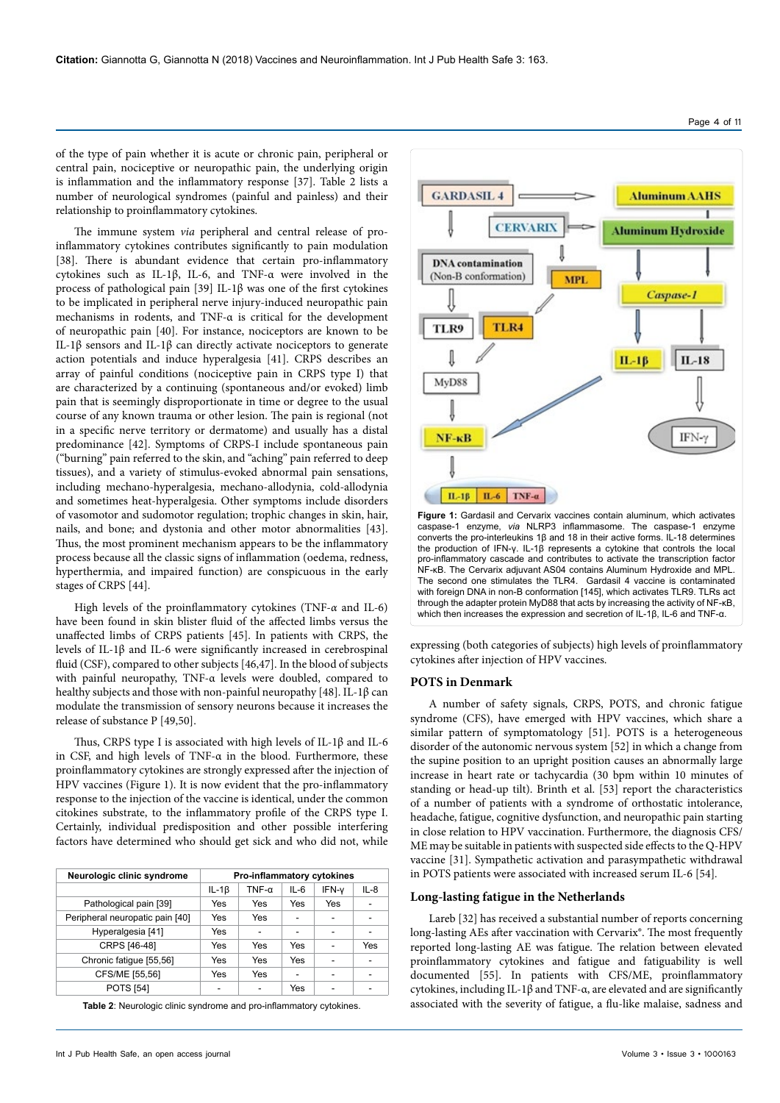of the type of pain whether it is acute or chronic pain, peripheral or central pain, nociceptive or neuropathic pain, the underlying origin is inflammation and the inflammatory response [37]. Table 2 lists a number of neurological syndromes (painful and painless) and their relationship to proinflammatory cytokines.

The immune system *via* peripheral and central release of proinflammatory cytokines contributes significantly to pain modulation [38]. There is abundant evidence that certain pro-inflammatory cytokines such as IL-1β, IL-6, and TNF-α were involved in the process of pathological pain [39] IL-1β was one of the first cytokines to be implicated in peripheral nerve injury-induced neuropathic pain mechanisms in rodents, and TNF-α is critical for the development of neuropathic pain [40]. For instance, nociceptors are known to be IL-1β sensors and IL-1β can directly activate nociceptors to generate action potentials and induce hyperalgesia [41]. CRPS describes an array of painful conditions (nociceptive pain in CRPS type I) that are characterized by a continuing (spontaneous and/or evoked) limb pain that is seemingly disproportionate in time or degree to the usual course of any known trauma or other lesion. The pain is regional (not in a specific nerve territory or dermatome) and usually has a distal predominance [42]. Symptoms of CRPS-I include spontaneous pain ("burning" pain referred to the skin, and "aching" pain referred to deep tissues), and a variety of stimulus-evoked abnormal pain sensations, including mechano-hyperalgesia, mechano-allodynia, cold-allodynia and sometimes heat-hyperalgesia. Other symptoms include disorders of vasomotor and sudomotor regulation; trophic changes in skin, hair, nails, and bone; and dystonia and other motor abnormalities [43]. Thus, the most prominent mechanism appears to be the inflammatory process because all the classic signs of inflammation (oedema, redness, hyperthermia, and impaired function) are conspicuous in the early stages of CRPS [44].

High levels of the proinflammatory cytokines (TNF-*α* and IL-6) have been found in skin blister fluid of the affected limbs versus the unaffected limbs of CRPS patients [45]. In patients with CRPS, the levels of IL-1β and IL-6 were significantly increased in cerebrospinal fluid (CSF), compared to other subjects [46,47]. In the blood of subjects with painful neuropathy, TNF-α levels were doubled, compared to healthy subjects and those with non-painful neuropathy [48]. IL-1β can modulate the transmission of sensory neurons because it increases the release of substance P [49,50].

Thus, CRPS type I is associated with high levels of IL-1β and IL-6 in CSF, and high levels of TNF-α in the blood. Furthermore, these proinflammatory cytokines are strongly expressed after the injection of HPV vaccines (Figure 1). It is now evident that the pro-inflammatory response to the injection of the vaccine is identical, under the common citokines substrate, to the inflammatory profile of the CRPS type I. Certainly, individual predisposition and other possible interfering factors have determined who should get sick and who did not, while

| Neurologic clinic syndrome      | Pro-inflammatory cytokines |              |        |       |        |  |
|---------------------------------|----------------------------|--------------|--------|-------|--------|--|
|                                 | $IL-1\beta$                | $TNF-\alpha$ | $IL-6$ | IFN-v | $IL-8$ |  |
| Pathological pain [39]          | Yes                        | Yes          | Yes    | Yes   |        |  |
| Peripheral neuropatic pain [40] | Yes                        | Yes          |        |       |        |  |
| Hyperalgesia [41]               | Yes                        | -            |        |       |        |  |
| CRPS [46-48]                    | Yes                        | Yes          | Yes    |       | Yes    |  |
| Chronic fatigue [55,56]         | Yes                        | Yes          | Yes    |       |        |  |
| CFS/ME [55,56]                  | Yes                        | Yes          |        |       |        |  |
| <b>POTS [54]</b>                |                            | -            | Yes    |       |        |  |

**Table 2**: Neurologic clinic syndrome and pro-inflammatory cytokines.



converts the pro-interleukins 1β and 18 in their active forms. IL-18 determines the production of IFN-γ. IL-1β represents a cytokine that controls the local pro-inflammatory cascade and contributes to activate the transcription factor NF-κB. The Cervarix adjuvant AS04 contains Aluminum Hydroxide and MPL. The second one stimulates the TLR4. Gardasil 4 vaccine is contaminated with foreign DNA in non-B conformation [145], which activates TLR9. TLRs act through the adapter protein MyD88 that acts by increasing the activity of NF-κB, which then increases the expression and secretion of IL-1β, IL-6 and TNF-α.

expressing (both categories of subjects) high levels of proinflammatory cytokines after injection of HPV vaccines.

### **POTS in Denmark**

A number of safety signals, CRPS, POTS, and chronic fatigue syndrome (CFS), have emerged with HPV vaccines, which share a similar pattern of symptomatology [51]. POTS is a heterogeneous disorder of the autonomic nervous system [52] in which a change from the supine position to an upright position causes an abnormally large increase in heart rate or tachycardia (30 bpm within 10 minutes of standing or head-up tilt). Brinth et al. [53] report the characteristics of a number of patients with a syndrome of orthostatic intolerance, headache, fatigue, cognitive dysfunction, and neuropathic pain starting in close relation to HPV vaccination. Furthermore, the diagnosis CFS/ ME may be suitable in patients with suspected side effects to the Q-HPV vaccine [31]. Sympathetic activation and parasympathetic withdrawal in POTS patients were associated with increased serum IL-6 [54]*.* 

#### **Long-lasting fatigue in the Netherlands**

Lareb [32] has received a substantial number of reports concerning long-lasting AEs after vaccination with Cervarix®. The most frequently reported long-lasting AE was fatigue. The relation between elevated proinflammatory cytokines and fatigue and fatiguability is well documented [55]. In patients with CFS/ME, proinflammatory cytokines, including IL-1β and TNF-α, are elevated and are significantly associated with the severity of fatigue, a flu-like malaise, sadness and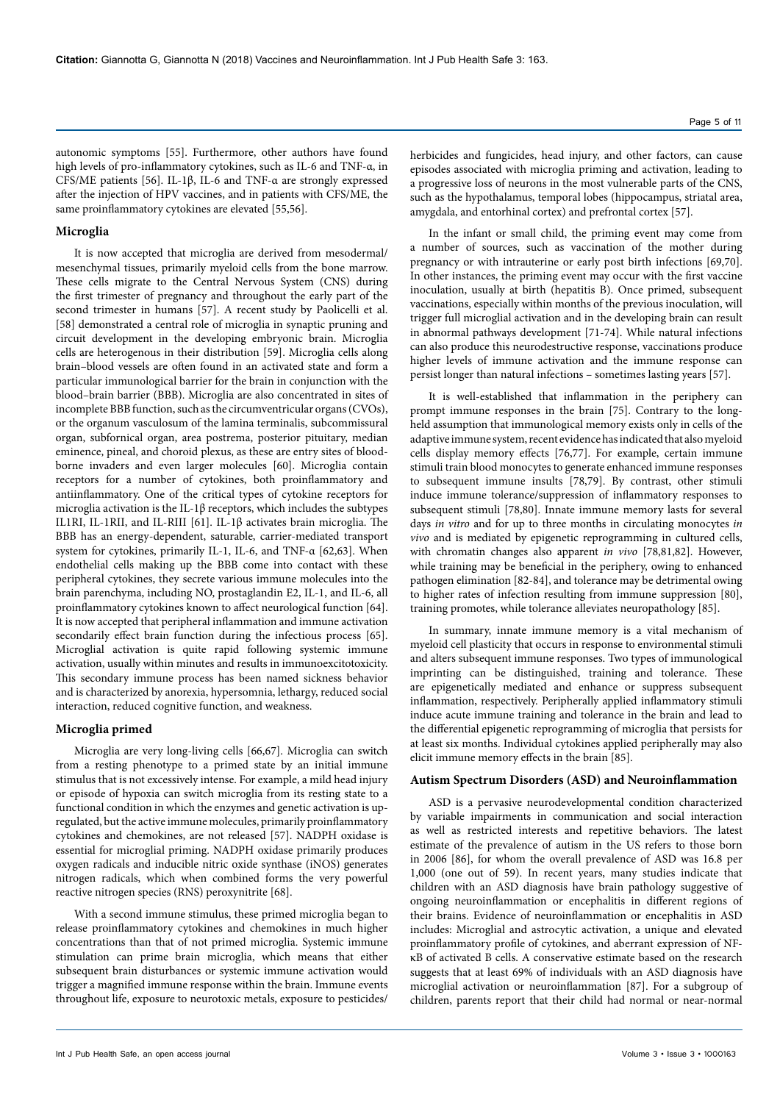autonomic symptoms [55]. Furthermore, other authors have found high levels of pro-inflammatory cytokines, such as IL-6 and TNF-α, in CFS/ME patients [56]. IL-1β, IL-6 and TNF-α are strongly expressed after the injection of HPV vaccines, and in patients with CFS/ME, the same proinflammatory cytokines are elevated [55,56].

#### **Microglia**

It is now accepted that microglia are derived from mesodermal/ mesenchymal tissues, primarily myeloid cells from the bone marrow. These cells migrate to the Central Nervous System (CNS) during the first trimester of pregnancy and throughout the early part of the second trimester in humans [57]. A recent study by Paolicelli et al. [58] demonstrated a central role of microglia in synaptic pruning and circuit development in the developing embryonic brain. Microglia cells are heterogenous in their distribution [59]. Microglia cells along brain–blood vessels are often found in an activated state and form a particular immunological barrier for the brain in conjunction with the blood–brain barrier (BBB). Microglia are also concentrated in sites of incomplete BBB function, such as the circumventricular organs (CVOs), or the organum vasculosum of the lamina terminalis, subcommissural organ, subfornical organ, area postrema, posterior pituitary, median eminence, pineal, and choroid plexus, as these are entry sites of bloodborne invaders and even larger molecules [60]. Microglia contain receptors for a number of cytokines, both proinflammatory and antiinflammatory. One of the critical types of cytokine receptors for microglia activation is the IL-1β receptors, which includes the subtypes IL1RI, IL-1RII, and IL-RIII [61]. IL-1β activates brain microglia. The BBB has an energy-dependent, saturable, carrier-mediated transport system for cytokines, primarily IL-1, IL-6, and TNF-α [62,63]. When endothelial cells making up the BBB come into contact with these peripheral cytokines, they secrete various immune molecules into the brain parenchyma, including NO, prostaglandin E2, IL-1, and IL-6, all proinflammatory cytokines known to affect neurological function [64]. It is now accepted that peripheral inflammation and immune activation secondarily effect brain function during the infectious process [65]. Microglial activation is quite rapid following systemic immune activation, usually within minutes and results in immunoexcitotoxicity. This secondary immune process has been named sickness behavior and is characterized by anorexia, hypersomnia, lethargy, reduced social interaction, reduced cognitive function, and weakness.

### **Microglia primed**

Microglia are very long-living cells [66,67]. Microglia can switch from a resting phenotype to a primed state by an initial immune stimulus that is not excessively intense. For example, a mild head injury or episode of hypoxia can switch microglia from its resting state to a functional condition in which the enzymes and genetic activation is upregulated, but the active immune molecules, primarily proinflammatory cytokines and chemokines, are not released [57]. NADPH oxidase is essential for microglial priming. NADPH oxidase primarily produces oxygen radicals and inducible nitric oxide synthase (iNOS) generates nitrogen radicals, which when combined forms the very powerful reactive nitrogen species (RNS) peroxynitrite [68].

With a second immune stimulus, these primed microglia began to release proinflammatory cytokines and chemokines in much higher concentrations than that of not primed microglia. Systemic immune stimulation can prime brain microglia, which means that either subsequent brain disturbances or systemic immune activation would trigger a magnified immune response within the brain. Immune events throughout life, exposure to neurotoxic metals, exposure to pesticides/

herbicides and fungicides, head injury, and other factors, can cause episodes associated with microglia priming and activation, leading to a progressive loss of neurons in the most vulnerable parts of the CNS, such as the hypothalamus, temporal lobes (hippocampus, striatal area, amygdala, and entorhinal cortex) and prefrontal cortex [57].

In the infant or small child, the priming event may come from a number of sources, such as vaccination of the mother during pregnancy or with intrauterine or early post birth infections [69,70]. In other instances, the priming event may occur with the first vaccine inoculation, usually at birth (hepatitis B). Once primed, subsequent vaccinations, especially within months of the previous inoculation, will trigger full microglial activation and in the developing brain can result in abnormal pathways development [71-74]. While natural infections can also produce this neurodestructive response, vaccinations produce higher levels of immune activation and the immune response can persist longer than natural infections – sometimes lasting years [57].

It is well-established that inflammation in the periphery can prompt immune responses in the brain [75]. Contrary to the longheld assumption that immunological memory exists only in cells of the adaptive immune system, recent evidence has indicated that also myeloid cells display memory effects [76,77]. For example, certain immune stimuli train blood monocytes to generate enhanced immune responses to subsequent immune insults [78,79]. By contrast, other stimuli induce immune tolerance/suppression of inflammatory responses to subsequent stimuli [78,80]. Innate immune memory lasts for several days *in vitro* and for up to three months in circulating monocytes *in vivo* and is mediated by epigenetic reprogramming in cultured cells, with chromatin changes also apparent *in vivo* [78,81,82]. However, while training may be beneficial in the periphery, owing to enhanced pathogen elimination [82-84], and tolerance may be detrimental owing to higher rates of infection resulting from immune suppression [80], training promotes, while tolerance alleviates neuropathology [85].

In summary, innate immune memory is a vital mechanism of myeloid cell plasticity that occurs in response to environmental stimuli and alters subsequent immune responses. Two types of immunological imprinting can be distinguished, training and tolerance. These are epigenetically mediated and enhance or suppress subsequent inflammation, respectively. Peripherally applied inflammatory stimuli induce acute immune training and tolerance in the brain and lead to the differential epigenetic reprogramming of microglia that persists for at least six months. Individual cytokines applied peripherally may also elicit immune memory effects in the brain [85].

# **Autism Spectrum Disorders (ASD) and Neuroinflammation**

ASD is a pervasive neurodevelopmental condition characterized by variable impairments in communication and social interaction as well as restricted interests and repetitive behaviors. The latest estimate of the prevalence of autism in the US refers to those born in 2006 [86], for whom the overall prevalence of ASD was 16.8 per 1,000 (one out of 59). In recent years, many studies indicate that children with an ASD diagnosis have brain pathology suggestive of ongoing neuroinflammation or encephalitis in different regions of their brains. Evidence of neuroinflammation or encephalitis in ASD includes: Microglial and astrocytic activation, a unique and elevated proinflammatory profile of cytokines, and aberrant expression of NFκB of activated B cells. A conservative estimate based on the research suggests that at least 69% of individuals with an ASD diagnosis have microglial activation or neuroinflammation [87]. For a subgroup of children, parents report that their child had normal or near-normal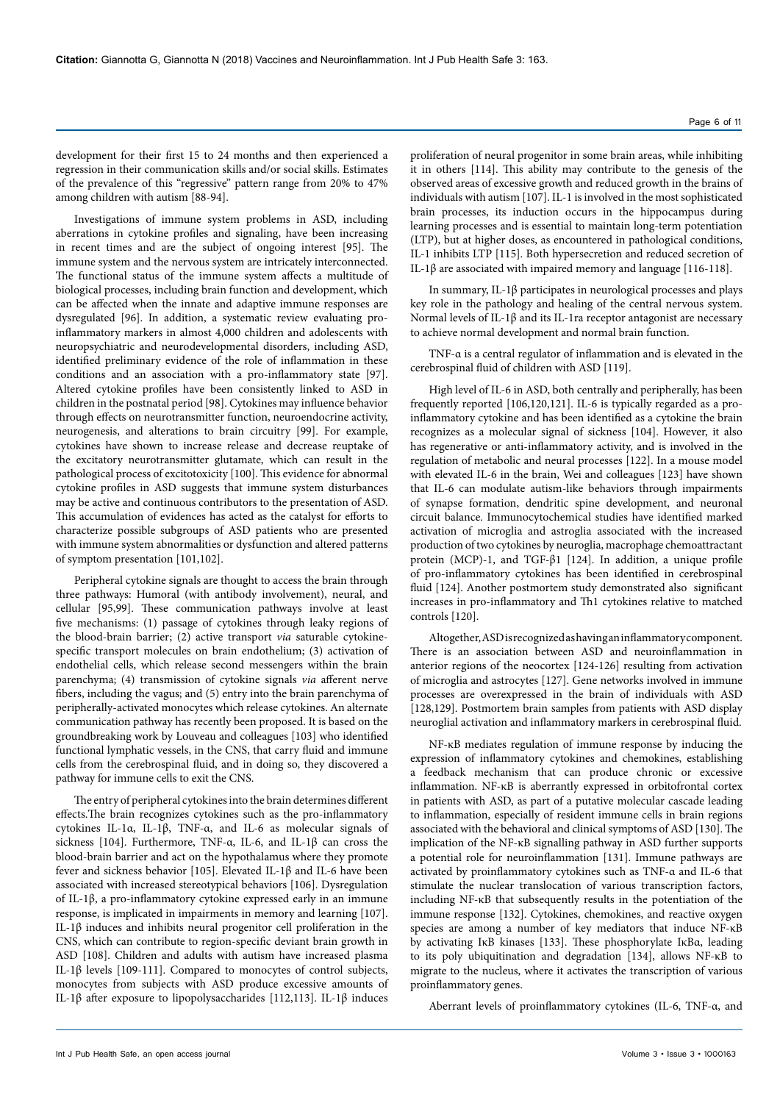Investigations of immune system problems in ASD, including aberrations in cytokine profiles and signaling, have been increasing in recent times and are the subject of ongoing interest [95]. The immune system and the nervous system are intricately interconnected. The functional status of the immune system affects a multitude of biological processes, including brain function and development, which can be affected when the innate and adaptive immune responses are dysregulated [96]. In addition, a systematic review evaluating proinflammatory markers in almost 4,000 children and adolescents with neuropsychiatric and neurodevelopmental disorders, including ASD, identified preliminary evidence of the role of inflammation in these conditions and an association with a pro-inflammatory state [97]. Altered cytokine profiles have been consistently linked to ASD in children in the postnatal period [98]. Cytokines may influence behavior through effects on neurotransmitter function, neuroendocrine activity, neurogenesis, and alterations to brain circuitry [99]. For example, cytokines have shown to increase release and decrease reuptake of the excitatory neurotransmitter glutamate, which can result in the pathological process of excitotoxicity [100]. This evidence for abnormal cytokine profiles in ASD suggests that immune system disturbances may be active and continuous contributors to the presentation of ASD. This accumulation of evidences has acted as the catalyst for efforts to characterize possible subgroups of ASD patients who are presented with immune system abnormalities or dysfunction and altered patterns of symptom presentation [101,102].

Peripheral cytokine signals are thought to access the brain through three pathways: Humoral (with antibody involvement), neural, and cellular [95,99]. These communication pathways involve at least five mechanisms: (1) passage of cytokines through leaky regions of the blood-brain barrier; (2) active transport *via* saturable cytokinespecific transport molecules on brain endothelium; (3) activation of endothelial cells, which release second messengers within the brain parenchyma; (4) transmission of cytokine signals *via* afferent nerve fibers, including the vagus; and (5) entry into the brain parenchyma of peripherally-activated monocytes which release cytokines. An alternate communication pathway has recently been proposed. It is based on the groundbreaking work by Louveau and colleagues [103] who identified functional lymphatic vessels, in the CNS, that carry fluid and immune cells from the cerebrospinal fluid, and in doing so, they discovered a pathway for immune cells to exit the CNS.

The entry of peripheral cytokines into the brain determines different effects.The brain recognizes cytokines such as the pro-inflammatory cytokines IL-1α, IL-1β, TNF-α, and IL-6 as molecular signals of sickness [104]. Furthermore, TNF-α, IL-6, and IL-1β can cross the blood-brain barrier and act on the hypothalamus where they promote fever and sickness behavior [105]. Elevated IL-1β and IL-6 have been associated with increased stereotypical behaviors [106]. Dysregulation of IL-1β, a pro-inflammatory cytokine expressed early in an immune response, is implicated in impairments in memory and learning [107]. IL-1β induces and inhibits neural progenitor cell proliferation in the CNS, which can contribute to region-specific deviant brain growth in ASD [108]. Children and adults with autism have increased plasma IL-1β levels [109-111]. Compared to monocytes of control subjects, monocytes from subjects with ASD produce excessive amounts of IL-1β after exposure to lipopolysaccharides [112,113]. IL-1β induces

proliferation of neural progenitor in some brain areas, while inhibiting it in others [114]. This ability may contribute to the genesis of the observed areas of excessive growth and reduced growth in the brains of individuals with autism [107]. IL-1 is involved in the most sophisticated brain processes, its induction occurs in the hippocampus during learning processes and is essential to maintain long-term potentiation (LTP), but at higher doses, as encountered in pathological conditions, IL-1 inhibits LTP [115]. Both hypersecretion and reduced secretion of IL-1β are associated with impaired memory and language [116-118].

In summary, IL-1β participates in neurological processes and plays key role in the pathology and healing of the central nervous system. Normal levels of IL-1β and its IL-1ra receptor antagonist are necessary to achieve normal development and normal brain function.

TNF-α is a central regulator of inflammation and is elevated in the cerebrospinal fluid of children with ASD [119].

High level of IL-6 in ASD, both centrally and peripherally, has been frequently reported [106,120,121]. IL-6 is typically regarded as a proinflammatory cytokine and has been identified as a cytokine the brain recognizes as a molecular signal of sickness [104]. However, it also has regenerative or anti-inflammatory activity, and is involved in the regulation of metabolic and neural processes [122]. In a mouse model with elevated IL-6 in the brain, Wei and colleagues [123] have shown that IL-6 can modulate autism-like behaviors through impairments of synapse formation, dendritic spine development, and neuronal circuit balance. Immunocytochemical studies have identified marked activation of microglia and astroglia associated with the increased production of two cytokines by neuroglia, macrophage chemoattractant protein (MCP)-1, and TGF-β1 [124]. In addition, a unique profile of pro-inflammatory cytokines has been identified in cerebrospinal fluid [124]. Another postmortem study demonstrated also significant increases in pro-inflammatory and Th1 cytokines relative to matched controls [120].

Altogether, ASD is recognized as having an inflammatory component. There is an association between ASD and neuroinflammation in anterior regions of the neocortex [124-126] resulting from activation of microglia and astrocytes [127]. Gene networks involved in immune processes are overexpressed in the brain of individuals with ASD [128,129]. Postmortem brain samples from patients with ASD display neuroglial activation and inflammatory markers in cerebrospinal fluid.

NF-κB mediates regulation of immune response by inducing the expression of inflammatory cytokines and chemokines, establishing a feedback mechanism that can produce chronic or excessive inflammation. NF-κB is aberrantly expressed in orbitofrontal cortex in patients with ASD, as part of a putative molecular cascade leading to inflammation, especially of resident immune cells in brain regions associated with the behavioral and clinical symptoms of ASD [130]. The implication of the NF-κB signalling pathway in ASD further supports a potential role for neuroinflammation [131]. Immune pathways are activated by proinflammatory cytokines such as TNF-α and IL-6 that stimulate the nuclear translocation of various transcription factors, including NF-κB that subsequently results in the potentiation of the immune response [132]. Cytokines, chemokines, and reactive oxygen species are among a number of key mediators that induce NF-κB by activating IκB kinases [133]. These phosphorylate IκBα, leading to its poly ubiquitination and degradation [134], allows NF-κB to migrate to the nucleus, where it activates the transcription of various proinflammatory genes.

Aberrant levels of proinflammatory cytokines (IL-6, TNF-α, and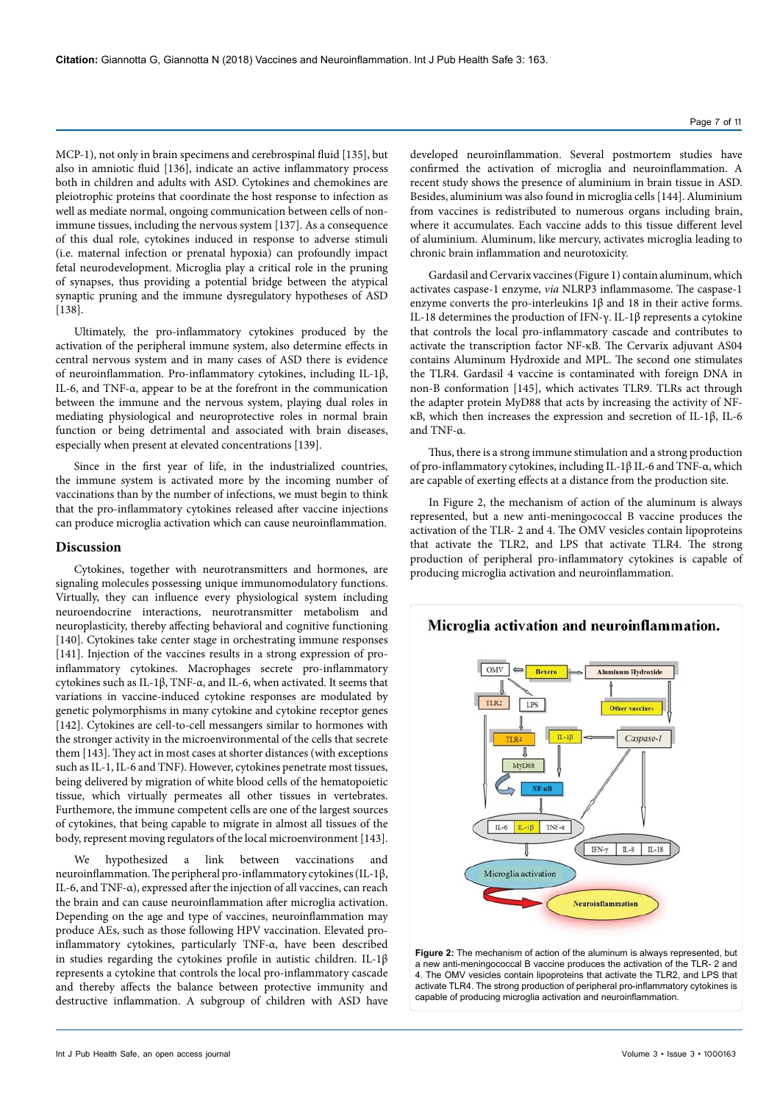MCP-1), not only in brain specimens and cerebrospinal fluid [135], but also in amniotic fluid [136], indicate an active inflammatory process both in children and adults with ASD. Cytokines and chemokines are pleiotrophic proteins that coordinate the host response to infection as well as mediate normal, ongoing communication between cells of nonimmune tissues, including the nervous system [137]. As a consequence of this dual role, cytokines induced in response to adverse stimuli (i.e. maternal infection or prenatal hypoxia) can profoundly impact fetal neurodevelopment. Microglia play a critical role in the pruning of synapses, thus providing a potential bridge between the atypical synaptic pruning and the immune dysregulatory hypotheses of ASD [138].

Ultimately, the pro-inflammatory cytokines produced by the activation of the peripheral immune system, also determine effects in central nervous system and in many cases of ASD there is evidence of neuroinflammation. Pro-inflammatory cytokines, including IL-1β, IL-6, and TNF-α, appear to be at the forefront in the communication between the immune and the nervous system, playing dual roles in mediating physiological and neuroprotective roles in normal brain function or being detrimental and associated with brain diseases, especially when present at elevated concentrations [139].

Since in the first year of life, in the industrialized countries, the immune system is activated more by the incoming number of vaccinations than by the number of infections, we must begin to think that the pro-inflammatory cytokines released after vaccine injections can produce microglia activation which can cause neuroinflammation.

### **Discussion**

Cytokines, together with neurotransmitters and hormones, are signaling molecules possessing unique immunomodulatory functions. Virtually, they can influence every physiological system including neuroendocrine interactions, neurotransmitter metabolism and neuroplasticity, thereby affecting behavioral and cognitive functioning [140]. Cytokines take center stage in orchestrating immune responses [141]. Injection of the vaccines results in a strong expression of proinflammatory cytokines. Macrophages secrete pro-inflammatory cytokines such as IL-1β, TNF-α, and IL-6, when activated. It seems that variations in vaccine-induced cytokine responses are modulated by genetic polymorphisms in many cytokine and cytokine receptor genes [142]. Cytokines are cell-to-cell messangers similar to hormones with the stronger activity in the microenvironmental of the cells that secrete them [143]. They act in most cases at shorter distances (with exceptions such as IL-1, IL-6 and TNF). However, cytokines penetrate most tissues, being delivered by migration of white blood cells of the hematopoietic tissue, which virtually permeates all other tissues in vertebrates. Furthemore, the immune competent cells are one of the largest sources of cytokines, that being capable to migrate in almost all tissues of the body, represent moving regulators of the local microenvironment [143].

We hypothesized a link between vaccinations and neuroinflammation. The peripheral pro-inflammatory cytokines (IL-1β, IL-6, and TNF-α), expressed after the injection of all vaccines, can reach the brain and can cause neuroinflammation after microglia activation. Depending on the age and type of vaccines, neuroinflammation may produce AEs, such as those following HPV vaccination. Elevated proinflammatory cytokines, particularly TNF-α, have been described in studies regarding the cytokines profile in autistic children. IL-1 $\beta$ represents a cytokine that controls the local pro-inflammatory cascade and thereby affects the balance between protective immunity and destructive inflammation. A subgroup of children with ASD have

developed neuroinflammation. Several postmortem studies have confirmed the activation of microglia and neuroinflammation. A recent study shows the presence of aluminium in brain tissue in ASD. Besides, aluminium was also found in microglia cells [144]. Aluminium from vaccines is redistributed to numerous organs including brain, where it accumulates. Each vaccine adds to this tissue different level of aluminium. Aluminum, like mercury, activates microglia leading to chronic brain inflammation and neurotoxicity.

Gardasil and Cervarix vaccines (Figure 1) contain aluminum, which activates caspase-1 enzyme, *via* NLRP3 inflammasome. The caspase-1 enzyme converts the pro-interleukins 1β and 18 in their active forms. IL-18 determines the production of IFN-γ. IL-1β represents a cytokine that controls the local pro-inflammatory cascade and contributes to activate the transcription factor NF-κB. The Cervarix adjuvant AS04 contains Aluminum Hydroxide and MPL. The second one stimulates the TLR4. Gardasil 4 vaccine is contaminated with foreign DNA in non-B conformation [145], which activates TLR9. TLRs act through the adapter protein MyD88 that acts by increasing the activity of NFκB, which then increases the expression and secretion of IL-1β, IL-6 and TNF-α.

Thus, there is a strong immune stimulation and a strong production of pro-inflammatory cytokines, including IL-1β IL-6 and TNF-α, which are capable of exerting effects at a distance from the production site.

In Figure 2, the mechanism of action of the aluminum is always represented, but a new anti-meningococcal B vaccine produces the activation of the TLR- 2 and 4. The OMV vesicles contain lipoproteins that activate the TLR2, and LPS that activate TLR4. The strong production of peripheral pro-inflammatory cytokines is capable of producing microglia activation and neuroinflammation.



a new anti-meningococcal B vaccine produces the activation of the TLR- 2 and 4. The OMV vesicles contain lipoproteins that activate the TLR2, and LPS that activate TLR4. The strong production of peripheral pro-inflammatory cytokines is capable of producing microglia activation and neuroinflammation.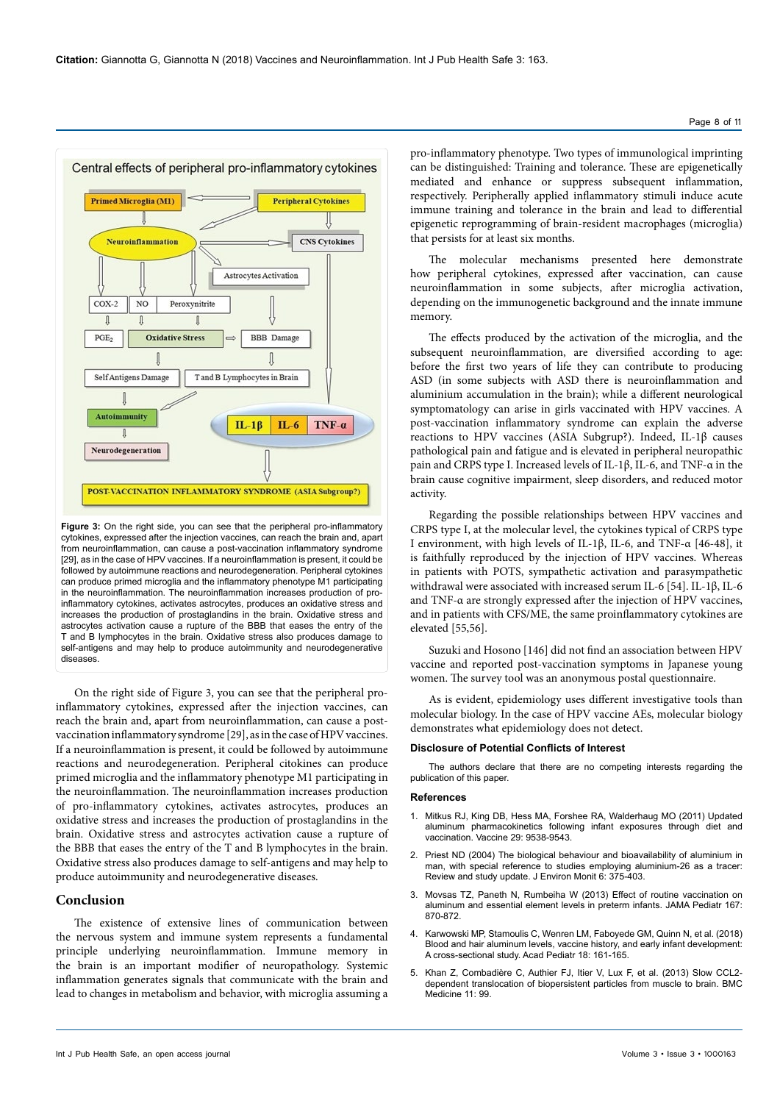

**Figure 3:** On the right side, you can see that the peripheral pro-inflammatory cytokines, expressed after the injection vaccines, can reach the brain and, apart from neuroinflammation, can cause a post-vaccination inflammatory syndrome [29], as in the case of HPV vaccines. If a neuroinflammation is present, it could be followed by autoimmune reactions and neurodegeneration. Peripheral cytokines can produce primed microglia and the inflammatory phenotype M1 participating in the neuroinflammation. The neuroinflammation increases production of proinflammatory cytokines, activates astrocytes, produces an oxidative stress and increases the production of prostaglandins in the brain. Oxidative stress and astrocytes activation cause a rupture of the BBB that eases the entry of the T and B lymphocytes in the brain. Oxidative stress also produces damage to self-antigens and may help to produce autoimmunity and neurodegenerative diseases.

On the right side of Figure 3, you can see that the peripheral proinflammatory cytokines, expressed after the injection vaccines, can reach the brain and, apart from neuroinflammation, can cause a postvaccination inflammatory syndrome [29], as in the case of HPV vaccines. If a neuroinflammation is present, it could be followed by autoimmune reactions and neurodegeneration. Peripheral citokines can produce primed microglia and the inflammatory phenotype M1 participating in the neuroinflammation. The neuroinflammation increases production of pro-inflammatory cytokines, activates astrocytes, produces an oxidative stress and increases the production of prostaglandins in the brain. Oxidative stress and astrocytes activation cause a rupture of the BBB that eases the entry of the T and B lymphocytes in the brain. Oxidative stress also produces damage to self-antigens and may help to produce autoimmunity and neurodegenerative diseases.

## **Conclusion**

The existence of extensive lines of communication between the nervous system and immune system represents a fundamental principle underlying neuroinflammation. Immune memory in the brain is an important modifier of neuropathology. Systemic inflammation generates signals that communicate with the brain and lead to changes in metabolism and behavior, with microglia assuming a pro-inflammatory phenotype. Two types of immunological imprinting can be distinguished: Training and tolerance. These are epigenetically mediated and enhance or suppress subsequent inflammation, respectively. Peripherally applied inflammatory stimuli induce acute immune training and tolerance in the brain and lead to differential epigenetic reprogramming of brain-resident macrophages (microglia) that persists for at least six months.

The molecular mechanisms presented here demonstrate how peripheral cytokines, expressed after vaccination, can cause neuroinflammation in some subjects, after microglia activation, depending on the immunogenetic background and the innate immune memory.

The effects produced by the activation of the microglia, and the subsequent neuroinflammation, are diversified according to age: before the first two years of life they can contribute to producing ASD (in some subjects with ASD there is neuroinflammation and aluminium accumulation in the brain); while a different neurological symptomatology can arise in girls vaccinated with HPV vaccines. A post-vaccination inflammatory syndrome can explain the adverse reactions to HPV vaccines (ASIA Subgrup?). Indeed, IL-1β causes pathological pain and fatigue and is elevated in peripheral neuropathic pain and CRPS type I. Increased levels of IL-1β, IL-6, and TNF-α in the brain cause cognitive impairment, sleep disorders, and reduced motor activity.

Regarding the possible relationships between HPV vaccines and CRPS type I, at the molecular level, the cytokines typical of CRPS type I environment, with high levels of IL-1β, IL-6, and TNF-α [46-48], it is faithfully reproduced by the injection of HPV vaccines. Whereas in patients with POTS, sympathetic activation and parasympathetic withdrawal were associated with increased serum IL-6 [54]. IL-1β, IL-6 and TNF-α are strongly expressed after the injection of HPV vaccines, and in patients with CFS/ME, the same proinflammatory cytokines are elevated [55,56].

Suzuki and Hosono [146] did not find an association between HPV vaccine and reported post-vaccination symptoms in Japanese young women. The survey tool was an anonymous postal questionnaire.

As is evident, epidemiology uses different investigative tools than molecular biology. In the case of HPV vaccine AEs, molecular biology demonstrates what epidemiology does not detect.

#### **Disclosure of Potential Conflicts of Interest**

The authors declare that there are no competing interests regarding the publication of this paper.

#### **References**

- 1. [Mitkus RJ, King DB, Hess MA, Forshee RA, Walderhaug MO \(2011\) Updated](https://doi.org/10.1016/j.vaccine.2011.09.124)  [aluminum pharmacokinetics following infant exposures through diet and](https://doi.org/10.1016/j.vaccine.2011.09.124)  [vaccination. Vaccine 29: 9538-9543.](https://doi.org/10.1016/j.vaccine.2011.09.124)
- 2. [Priest ND \(2004\) The biological behaviour and bioavailability of aluminium in](https://dx.doi.org/10.1039/B314329P)  [man, with special reference to studies employing aluminium-26 as a tracer:](https://dx.doi.org/10.1039/B314329P)  [Review and study update. J Environ Monit 6: 375-403.](https://dx.doi.org/10.1039/B314329P)
- 3. [Movsas TZ, Paneth N, Rumbeiha W \(2013\) Effect of routine vaccination on](https://dx.doi.org/10.1001/jamapediatrics.2013.108)  [aluminum and essential element levels in preterm infants.](https://dx.doi.org/10.1001/jamapediatrics.2013.108) JAMA Pediatr 167: [870-872.](https://dx.doi.org/10.1001/jamapediatrics.2013.108)
- 4. [Karwowski MP, Stamoulis C, Wenren LM, Faboyede GM, Quinn N, et al. \(2018\)](https://doi.org/10.1016/j.acap.2017.09.003)  [Blood and hair aluminum levels, vaccine history, and early infant development:](https://doi.org/10.1016/j.acap.2017.09.003)  [A cross-sectional study. Acad Pediatr 18: 161-165.](https://doi.org/10.1016/j.acap.2017.09.003)
- 5. [Khan Z, Combadière C, Authier FJ, Itier V, Lux F, et al. \(2013\) Slow CCL2](https://doi.org/10.1186/1741-7015-11-99) [dependent translocation of biopersistent particles from muscle to brain.](https://doi.org/10.1186/1741-7015-11-99) BMC [Medicine 11: 99.](https://doi.org/10.1186/1741-7015-11-99)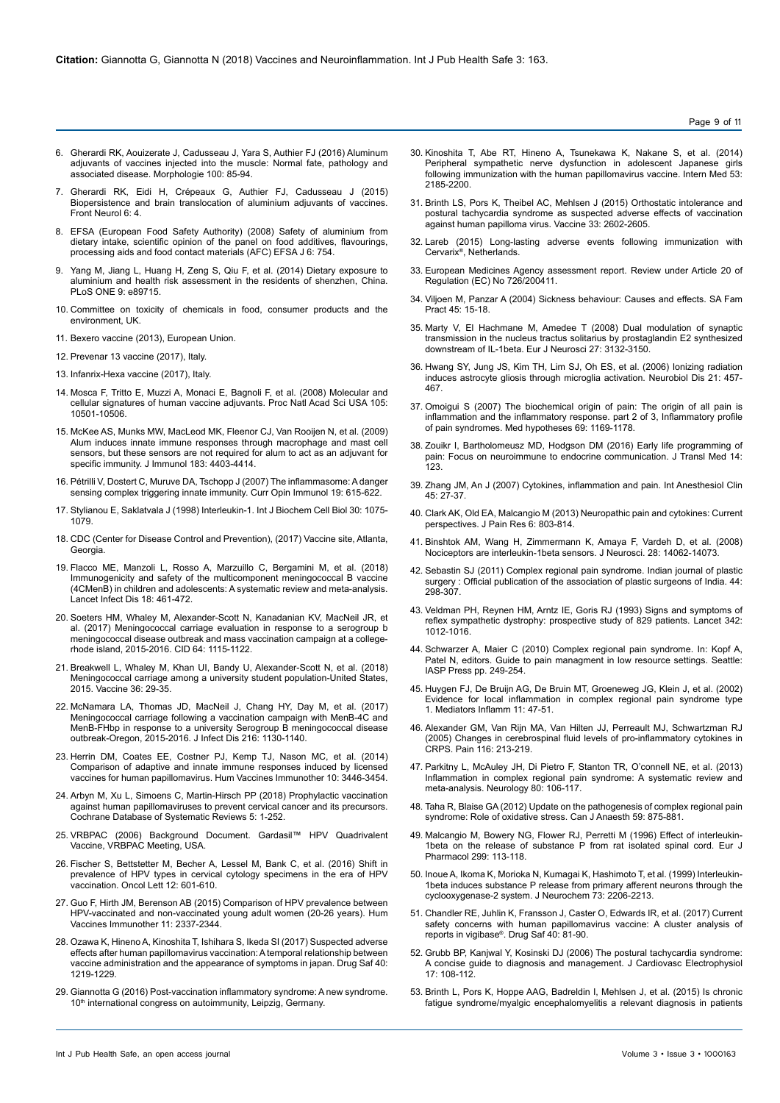- 6. [Gherardi RK, Aouizerate J, Cadusseau J, Yara S, Authier FJ \(2016\) Aluminum](https://doi.org/10.1016/j.morpho.2016.01.002) [adjuvants of vaccines injected into the muscle: Normal fate, pathology and](https://doi.org/10.1016/j.morpho.2016.01.002) [associated disease. Morphologie 100: 85-94.](https://doi.org/10.1016/j.morpho.2016.01.002)
- 7. [Gherardi RK, Eidi H, Crépeaux G, Authier FJ, Cadusseau J \(2015\)](https://doi.org/10.3389/fneur.2015.00004) [Biopersistence and brain translocation of aluminium adjuvants of vaccines.](https://doi.org/10.3389/fneur.2015.00004) [Front Neurol 6: 4.](https://doi.org/10.3389/fneur.2015.00004)
- 8. [EFSA \(European Food Safety Authority\) \(2008\) Safety of aluminium from](https://doi.org/10.2903/j.efsa.2008.754) [dietary intake, scientific opinion of the panel on food additives, flavourings,](https://doi.org/10.2903/j.efsa.2008.754) [processing aids and food contact materials \(AFC\)](https://doi.org/10.2903/j.efsa.2008.754) EFSA J 6: 754.
- 9. [Yang M, Jiang L, Huang H, Zeng S, Qiu F, et al. \(2014\) Dietary exposure to](https://doi.org/10.1371/journal.pone.0089715) [aluminium and health risk assessment in the residents of shenzhen, China.](https://doi.org/10.1371/journal.pone.0089715) [PLoS ONE 9: e89715.](https://doi.org/10.1371/journal.pone.0089715)
- 10. [Committee on toxicity of chemicals in food, consumer products and the](https://cot.food.gov.uk/sites/default/files/cot/statealuminium.pdf) [environment, UK.](https://cot.food.gov.uk/sites/default/files/cot/statealuminium.pdf)
- 11. [Bexero vaccine \(2013\), European Union.](https://ec.europa.eu/health/documents/community register/2013/20130114125155/anx_125155_it.pdf)
- 12. [Prevenar 13 vaccine \(2017\), Italy.](https://farmaci.agenziafarmaco.gov.it/aifa/servlet/PdfDownloadServlet?pdfFileName=footer_001533_039550_FI.pdf&retry=0&sys=m0b1l3)
- 13. [Infanrix-Hexa vaccine \(2017\), Italy.](https://farmaci.agenziafarmaco.gov.it/aifa/servlet/PdfDownloadServlet?pdfFileName=footer_000231_034960_RCP.pdf&retry=0&sys=m0b1l3)
- 14. [Mosca F, Tritto E, Muzzi A, Monaci E, Bagnoli F, et al. \(2008\) Molecular and](https://doi.org/10.1073/pnas.0804699105) [cellular signatures of human vaccine adjuvants. Proc Natl Acad Sci USA 105:](https://doi.org/10.1073/pnas.0804699105) [10501-10506.](https://doi.org/10.1073/pnas.0804699105)
- 15. [McKee AS, Munks MW, MacLeod MK, Fleenor CJ, Van Rooijen N, et al. \(2009\)](https://doi.org/10.4049/jimmunol.0900164) [Alum induces innate immune responses through macrophage and mast cell](https://doi.org/10.4049/jimmunol.0900164) [sensors, but these sensors are not required for alum to act as an adjuvant for](https://doi.org/10.4049/jimmunol.0900164) [specific immunity. J Immunol 183: 4403-4414.](https://doi.org/10.4049/jimmunol.0900164)
- 16. [Pétrilli V, Dostert C, Muruve DA, Tschopp J \(2007\) The inflammasome: A danger](https://doi.org/10.1016/j.coi.2007.09.002) [sensing complex triggering innate immunity.](https://doi.org/10.1016/j.coi.2007.09.002) Curr Opin Immunol 19: 615-622.
- 17. [Stylianou E, Saklatvala J \(1998\) Interleukin-1. Int J Biochem Cell Biol 30: 1075-](https://doi.org/10.1016/S1357-2725(98)00081-8) [1079.](https://doi.org/10.1016/S1357-2725(98)00081-8)
- 18. [CDC \(Center for Disease Control and Prevention\), \(2017\) Vaccine site, Atlanta,](https://www.cdc.gov/vaccines/events/niiw/overview.html) **Georgia**
- 19. [Flacco ME, Manzoli L, Rosso A, Marzuillo C, Bergamini M, et al. \(2018\)](https://doi.org/10.1016/S1473-3099(18)30048-3) [Immunogenicity and safety of the multicomponent meningococcal B vaccine](https://doi.org/10.1016/S1473-3099(18)30048-3) [\(4CMenB\) in children and adolescents: A systematic review and meta-analysis.](https://doi.org/10.1016/S1473-3099(18)30048-3) [Lancet Infect Dis 18: 461-472.](https://doi.org/10.1016/S1473-3099(18)30048-3)
- 20. [Soeters HM, Whaley M, Alexander-Scott N, Kanadanian KV, MacNeil JR, et](https://doi.org/10.1093/cid/cix091) [al. \(2017\) Meningococcal carriage evaluation in response to a serogroup b](https://doi.org/10.1093/cid/cix091) [meningococcal disease outbreak and mass vaccination campaign at a college](https://doi.org/10.1093/cid/cix091)[rhode island, 2015-2016.](https://doi.org/10.1093/cid/cix091) CID 64: 1115-1122.
- 21. [Breakwell L, Whaley M, Khan UI, Bandy U, Alexander-Scott N, et al. \(2018\)](https://doi.org/10.1016/j.vaccine.2017.11.040) [Meningococcal carriage among a university student population-United States,](https://doi.org/10.1016/j.vaccine.2017.11.040) [2015. Vaccine 36: 29-35.](https://doi.org/10.1016/j.vaccine.2017.11.040)
- 22. [McNamara LA, Thomas JD, MacNeil J, Chang HY, Day M, et al. \(2017\)](https://doi.org/10.1093/infdis/jix446) [Meningococcal carriage following a vaccination campaign with MenB-4C and](https://doi.org/10.1093/infdis/jix446) [MenB-FHbp in response to a university Serogroup B meningococcal disease](https://doi.org/10.1093/infdis/jix446) [outbreak-Oregon, 2015-2016. J Infect Dis 216: 1130-1140.](https://doi.org/10.1093/infdis/jix446)
- 23. [Herrin DM, Coates EE, Costner PJ, Kemp TJ, Nason MC, et al. \(2014\)](https://doi.org/10.4161/hv.34408) [Comparison of adaptive and innate immune responses induced by licensed](https://doi.org/10.4161/hv.34408) vaccines for human papillomavirus. [Hum Vaccines Immunother 10: 3446-3454.](https://doi.org/10.4161/hv.34408)
- 24. [Arbyn M, Xu L, Simoens C, Martin-Hirsch PP \(2018\) Prophylactic vaccination](https://www.cochranelibrary.com/cdsr/doi/10.1002/14651858.CD009069.pub3) [against human papillomaviruses to prevent cervical cancer and its precursors.](https://www.cochranelibrary.com/cdsr/doi/10.1002/14651858.CD009069.pub3) [Cochrane Database of Systematic Reviews 5: 1-252.](https://www.cochranelibrary.com/cdsr/doi/10.1002/14651858.CD009069.pub3)
- 25. [VRBPAC \(2006\) Background Document. Gardasil™ HPV Quadrivalent](http://fearlessparent.org/wp-content/uploads/2017/10/HPV-vaccine-clinical-trials.pdf) [Vaccine, VRBPAC Meeting, USA.](http://fearlessparent.org/wp-content/uploads/2017/10/HPV-vaccine-clinical-trials.pdf)
- 26. [Fischer S, Bettstetter M, Becher A, Lessel M, Bank C, et al. \(2016\) Shift in](https://doi.org/10.3892/ol.2016.4668) [prevalence of HPV types in cervical cytology specimens in the era of HPV](https://doi.org/10.3892/ol.2016.4668) vaccination. [Oncol Lett 12: 601-610.](https://doi.org/10.3892/ol.2016.4668)
- 27. [Guo F, Hirth JM, Berenson AB \(2015\) Comparison of HPV prevalence between](https://doi.org/10.1080/21645515.2015.1066948) [HPV-vaccinated and non-vaccinated young adult women \(20-26 years\). Hum](https://doi.org/10.1080/21645515.2015.1066948) [Vaccines Immunother 11: 2337-2344.](https://doi.org/10.1080/21645515.2015.1066948)
- 28. [Ozawa K, Hineno A, Kinoshita T, Ishihara S, Ikeda SI \(2017\) Suspected adverse](https://doi.org/10.1007/s40264-017-0574-6) [effects after human papillomavirus vaccination: A temporal relationship between](https://doi.org/10.1007/s40264-017-0574-6) [vaccine administration and the appearance of symptoms in japan.](https://doi.org/10.1007/s40264-017-0574-6) Drug Saf 40: [1219-1229.](https://doi.org/10.1007/s40264-017-0574-6)
- 29. Giannotta G (2016) Post-vaccination inflammatory syndrome: A new syndrome. 10<sup>th</sup> international congress on autoimmunity, Leipzig, Germany.
- 30. Kinoshita T, Abe RT, Hineno A, Tsunekawa K, Nakane S, et al. (2014) Peripheral sympathetic nerve dysfunction in adolescent Japanese girls following immunization with the human papillomavirus vaccine. Intern Med 53: 2185-2200.
- 31. [Brinth LS, Pors K, Theibel AC, Mehlsen J \(2015\) Orthostatic intolerance and](https://doi.org/10.1016/j.vaccine.2015.03.098)  [postural tachycardia syndrome as suspected adverse effects of vaccination](https://doi.org/10.1016/j.vaccine.2015.03.098)  [against human papilloma virus.](https://doi.org/10.1016/j.vaccine.2015.03.098) Vaccine 33: 2602-2605.
- 32. [Lareb \(2015\) Long-lasting adverse events following immunization with](http://databankws.lareb.nl/Downloads/Lareb_rapport_HPV_dec15_03.pdf)  Cervarix[®, Netherlands.](http://databankws.lareb.nl/Downloads/Lareb_rapport_HPV_dec15_03.pdf)
- 33. [European Medicines Agency assessment report. Review under Article 20 of](http://www.ema.europa.eu/docs/en_GB/document_library/Referrals_document/HPV_vaccines_20/Opinion_provided_by_Committee_for_Medicinal_Products_for_Human_Use/WC500197129.pdf)  [Regulation \(EC\) No 726/200411.](http://www.ema.europa.eu/docs/en_GB/document_library/Referrals_document/HPV_vaccines_20/Opinion_provided_by_Committee_for_Medicinal_Products_for_Human_Use/WC500197129.pdf)
- 34. Viljoen M, Panzar A (2004) Sickness behaviour: Causes and effects. SA Fam Pract 45: 15-18.
- 35. [Marty V, El Hachmane M, Amedee T \(2008\) Dual modulation of synaptic](https://doi.org/10.1111/j.1460-9568.2008.06296.x)  [transmission in the nucleus tractus solitarius by prostaglandin E2 synthesized](https://doi.org/10.1111/j.1460-9568.2008.06296.x)  downstream of IL-1beta. [Eur J Neurosci 27: 3132-3150.](https://doi.org/10.1111/j.1460-9568.2008.06296.x)
- 36. [Hwang SY, Jung JS, Kim TH, Lim SJ, Oh ES, et al. \(2006\) Ionizing radiation](https://doi.org/10.1016/j.nbd.2005.08.006)  [induces astrocyte gliosis through microglia activation.](https://doi.org/10.1016/j.nbd.2005.08.006) Neurobiol Dis 21: 457- [467.](https://doi.org/10.1016/j.nbd.2005.08.006)
- 37. [Omoigui S \(2007\) The biochemical origin of pain: The origin of all pain is](https://doi.org/10.1016/j.mehy.2007.06.033)  [inflammation and the inflammatory response. part 2 of 3, Inflammatory profile](https://doi.org/10.1016/j.mehy.2007.06.033)  of pain syndromes. [Med hypotheses 69: 1169-1178.](https://doi.org/10.1016/j.mehy.2007.06.033)
- 38. [Zouikr I, Bartholomeusz MD, Hodgson DM \(2016\) Early life programming of](https://doi.org/10.1186/s12967-016-0879-8)  [pain: Focus on neuroimmune to endocrine communication.](https://doi.org/10.1186/s12967-016-0879-8) J Transl Med 14: .<br>[123.](https://doi.org/10.1186/s12967-016-0879-8)
- 39. [Zhang JM, An J \(2007\) Cytokines, inflammation and pain. Int Anesthesiol Clin](https://dx.doi.org/10.1097%2FAIA.0b013e318034194e)  [45: 27-37.](https://dx.doi.org/10.1097%2FAIA.0b013e318034194e)
- 40. [Clark AK, Old EA, Malcangio M \(2013\) Neuropathic pain and cytokines: Current](https://dx.doi.org/10.2147%2FJPR.S53660)  perspectives. [J Pain Res 6: 803-814.](https://dx.doi.org/10.2147%2FJPR.S53660)
- 41. [Binshtok AM, Wang H, Zimmermann K, Amaya F, Vardeh D, et al. \(2008\)](https://doi.org/10.1523/JNEUROSCI.3795-08.2008)  [Nociceptors are interleukin-1beta sensors. J Neurosci. 28: 14062-14073.](https://doi.org/10.1523/JNEUROSCI.3795-08.2008)
- 42. Sebastin SJ (2011) Complex regional pain syndrome. Indian journal of plastic surgery : Official publication of the association of plastic surgeons of India. 44: 298-307.
- 43. [Veldman PH, Reynen HM, Arntz IE, Goris RJ \(1993\) Signs and symptoms of](https://doi.org/10.1016/0140-6736(93)92877-V)  [reflex sympathetic dystrophy: prospective study of 829 patients.](https://doi.org/10.1016/0140-6736(93)92877-V) Lancet 342: [1012-1016.](https://doi.org/10.1016/0140-6736(93)92877-V)
- 44. [Schwarzer A, Maier C \(2010\) Complex regional pain syndrome. In: Kopf A,](http://www.aped-dor.org/images/diversos/documentos/guide.pdf#page=261)  Patel N, editors. [Guide to pain managment in low resource settings.](http://www.aped-dor.org/images/diversos/documentos/guide.pdf#page=261) Seattle: [IASP Press pp. 249-254.](http://www.aped-dor.org/images/diversos/documentos/guide.pdf#page=261)
- 45. [Huygen FJ, De Bruijn AG, De Bruin MT, Groeneweg JG, Klein J, et al. \(2002\)](http://dx.doi.org/10.1080/09629350210307)  [Evidence for local inflammation in complex regional pain syndrome type](http://dx.doi.org/10.1080/09629350210307)  1. [Mediators Inflamm 11: 47-51.](http://dx.doi.org/10.1080/09629350210307)
- 46. [Alexander GM, Van Rijn MA, Van Hilten JJ, Perreault MJ, Schwartzman RJ](https://doi.org/10.1016/j.pain.2005.04.013)  [\(2005\) Changes in cerebrospinal fluid levels of pro-inflammatory cytokines in](https://doi.org/10.1016/j.pain.2005.04.013)  [CRPS. Pain 116: 213-219.](https://doi.org/10.1016/j.pain.2005.04.013)
- 47. [Parkitny L, McAuley JH, Di Pietro F, Stanton TR, O'connell NE, et al. \(2013\)](https://doi.org/10.1212/WNL.0b013e31827b1aa1)  [Inflammation in complex regional pain syndrome: A systematic review and](https://doi.org/10.1212/WNL.0b013e31827b1aa1)  [meta-analysis. Neurology 80: 106-117.](https://doi.org/10.1212/WNL.0b013e31827b1aa1)
- 48. [Taha R, Blaise GA \(2012\) Update on the pathogenesis of complex regional pain](https://doi.org/10.1007/s12630-012-9748-y)  [syndrome: Role of oxidative stress. Can J Anaesth 59: 875-881.](https://doi.org/10.1007/s12630-012-9748-y)
- 49. [Malcangio M, Bowery NG, Flower RJ, Perretti M \(1996\) Effect of interleukin-](https://doi.org/10.1016/0014-2999(95)00845-4)[1beta on the release of substance P from rat isolated spinal cord. Eur J](https://doi.org/10.1016/0014-2999(95)00845-4)  [Pharmacol 299: 113-118.](https://doi.org/10.1016/0014-2999(95)00845-4)
- 50. Inoue A, Ikoma K, Morioka N, Kumagai K, Hashimoto T, et al. (1999) Interleukin-1beta induces substance P release from primary afferent neurons through the cyclooxygenase-2 system. J Neurochem 73: 2206-2213.
- 51. [Chandler RE, Juhlin K, Fransson J, Caster O, Edwards IR, et al. \(2017\) Current](https://doi.org/10.1007/s40264-016-0456-3)  safety concerns with human papillomavirus vaccine: A cluster analysis of reports in vigibase®. [Drug Saf 40: 81-90.](https://doi.org/10.1007/s40264-016-0456-3)
- 52. [Grubb BP, Kanjwal Y, Kosinski DJ \(2006\)](https://doi.org/10.1111/j.1540-8167.2005.00318.x) The postural tachycardia syndrome: [A concise guide to diagnosis and management.](https://doi.org/10.1111/j.1540-8167.2005.00318.x) J Cardiovasc Electrophysiol [17: 108-112.](https://doi.org/10.1111/j.1540-8167.2005.00318.x)
- 53. [Brinth L, Pors K, Hoppe AAG, Badreldin I, Mehlsen J, et al. \(2015\) Is chronic](https://pdfs.semanticscholar.org/4151/aa8ac4091eb0301cce520c997cd44c8c70bc.pdf)  [fatigue syndrome/myalgic encephalomyelitis a relevant diagnosis in patients](https://pdfs.semanticscholar.org/4151/aa8ac4091eb0301cce520c997cd44c8c70bc.pdf)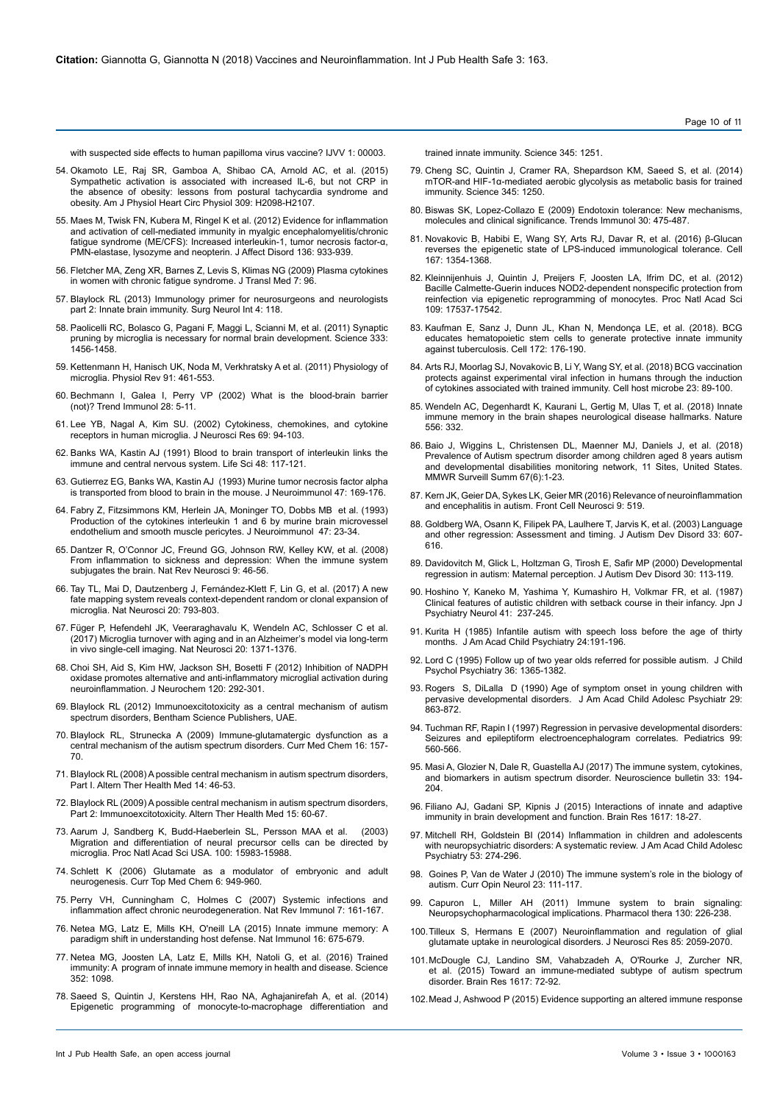[with suspected side effects to human papilloma virus vaccine? IJVV 1: 00003.](https://pdfs.semanticscholar.org/4151/aa8ac4091eb0301cce520c997cd44c8c70bc.pdf)

- 54. [Okamoto LE, Raj SR, Gamboa A, Shibao CA, Arnold AC, et al. \(2015\)](https://doi.org/10.1152/ajpheart.00409.2015) [Sympathetic activation is associated with increased IL-6, but not CRP in](https://doi.org/10.1152/ajpheart.00409.2015) [the absence of obesity: lessons from postural tachycardia syndrome and](https://doi.org/10.1152/ajpheart.00409.2015) obesity. [Am J Physiol Heart Circ Physiol 309: H2098-H2107.](https://doi.org/10.1152/ajpheart.00409.2015)
- 55. [Maes M, Twisk FN, Kubera M, Ringel K et al. \(2012\) Evidence for inflammation](https://doi.org/10.1016/j.jad.2011.09.004) [and activation of cell-mediated immunity in myalgic encephalomyelitis/chronic](https://doi.org/10.1016/j.jad.2011.09.004) [fatigue syndrome \(ME/CFS\): Increased interleukin-1, tumor necrosis factor-α,](https://doi.org/10.1016/j.jad.2011.09.004) [PMN-elastase, lysozyme and neopterin.](https://doi.org/10.1016/j.jad.2011.09.004) J Affect Disord 136: 933-939.
- 56. [Fletcher MA, Zeng XR, Barnes Z, Levis S, Klimas NG \(2009\) Plasma cytokines](https://doi.org/10.1186/1479-5876-7-96) [in women with chronic fatigue syndrome.](https://doi.org/10.1186/1479-5876-7-96) J Transl Med 7: 96.
- 57. [Blaylock RL \(2013\) Immunology primer for neurosurgeons and neurologists](https://doi.org/10.4103/2152-7806.118349) [part 2: Innate brain immunity.](https://doi.org/10.4103/2152-7806.118349) Surg Neurol Int 4: 118.
- 58. [Paolicelli RC, Bolasco G, Pagani F, Maggi L, Scianni M, et al. \(2011\) Synaptic](https://doi.org/10.1126/science.1202529) [pruning by microglia is necessary for normal brain development.](https://doi.org/10.1126/science.1202529) Science 333: [1456-1458.](https://doi.org/10.1126/science.1202529)
- 59. [Kettenmann H, Hanisch UK, Noda M, Verkhratsky A et al. \(2011\) Physiology of](https://doi.org/10.1152/physrev.00011.2010) microglia. [Physiol Rev 91: 461-553.](https://doi.org/10.1152/physrev.00011.2010)
- 60. [Bechmann I, Galea I, Perry VP \(2002\) What is the blood-brain barrier](https://doi.org/10.1016/j.it.2006.11.007) (not)? [Trend Immunol 28: 5-11.](https://doi.org/10.1016/j.it.2006.11.007)
- 61. [Lee YB, Nagal A, Kim SU. \(2002\) Cytokiness, chemokines, and cytokine](https://doi.org/10.1002/jnr.10253) [receptors in human microglia.](https://doi.org/10.1002/jnr.10253) J Neurosci Res 69: 94-103.
- 62. [Banks WA, Kastin AJ \(1991\) Blood to brain transport of interleukin links the](https://doi.org/10.1016/0024-3205(91)90385-O) [immune and central nervous system.](https://doi.org/10.1016/0024-3205(91)90385-O) Life Sci 48: 117-121.
- 63. [Gutierrez EG, Banks WA, Kastin AJ \(1993\) Murine tumor necrosis factor alpha](https://www.semanticscholar.org/paper/Murine-tumor-necrosis-factor-alpha-is-transported-Guti%C3%A9rrez-Banks/9ff33fa7995cb508124239fc3f1fedba29788920) [is transported from blood to brain in the mouse.](https://www.semanticscholar.org/paper/Murine-tumor-necrosis-factor-alpha-is-transported-Guti%C3%A9rrez-Banks/9ff33fa7995cb508124239fc3f1fedba29788920) J Neuroimmunol 47: 169-176.
- 64. [Fabry Z, Fitzsimmons KM, Herlein JA, Moninger TO, Dobbs MB et al. \(1993\)](https://doi.org/10.1016/0165-5728(93)90281-3) [Production of the cytokines interleukin 1 and 6 by murine brain microvessel](https://doi.org/10.1016/0165-5728(93)90281-3) [endothelium and smooth muscle pericytes.](https://doi.org/10.1016/0165-5728(93)90281-3) J Neuroimmunol 47: 23-34.
- 65. [Dantzer R, O'Connor JC, Freund GG, Johnson RW, Kelley KW, et al. \(2008\)](https://doi.org/10.1038/nrn2297) [From inflammation to sickness and depression: When the immune system](https://doi.org/10.1038/nrn2297) [subjugates the brain.](https://doi.org/10.1038/nrn2297) Nat Rev Neurosci 9: 46-56.
- 66. [Tay TL, Mai D, Dautzenberg J, Fernández-Klett F, Lin G, et al. \(2017\) A new](https://doi.org/10.1038/nn.4547) [fate mapping system reveals context-dependent random or clonal expansion of](https://doi.org/10.1038/nn.4547) [microglia. Nat Neurosci 20: 793-803.](https://doi.org/10.1038/nn.4547)
- 67. [Füger P, Hefendehl JK, Veeraraghavalu K, Wendeln AC, Schlosser C et al.](https://doi.org/10.1038/nn.4631) [\(2017\) Microglia turnover with aging and in an Alzheimer's model via long-term](https://doi.org/10.1038/nn.4631) [in vivo single-cell imaging. Nat Neurosci 20: 1371-1376.](https://doi.org/10.1038/nn.4631)
- 68. [Choi SH, Aid S, Kim HW, Jackson SH, Bosetti F \(2012\) Inhibition of NADPH](https://doi.org/10.1111/j.1471-4159.2011.07572.x) [oxidase promotes alternative and anti-inflammatory microglial activation during](https://doi.org/10.1111/j.1471-4159.2011.07572.x) [neuroinflammation.](https://doi.org/10.1111/j.1471-4159.2011.07572.x) J Neurochem 120: 292-301.
- 69. Blaylock RL (2012) Immunoexcitotoxicity as a central mechanism of autism spectrum disorders, Bentham Science Publishers, UAE.
- 70. [Blaylock RL, Strunecka A \(2009\) Immune-glutamatergic dysfunction as a](http://www.eurekaselect.com/68270/article) [central mechanism of the autism spectrum disorders.](http://www.eurekaselect.com/68270/article) Curr Med Chem 16: 157- [70.](http://www.eurekaselect.com/68270/article)
- 71. Blaylock RL (2008) A possible central mechanism in autism spectrum disorders, Part I. Altern Ther Health Med 14: 46-53.
- 72. [Blaylock RL \(2009\) A possible central mechanism in autism spectrum disorders,](https://pdfs.semanticscholar.org/1562/c704c69d94f41a72efd33bc16cc568ba646c.pdf) Part 2: Immunoexcitotoxicity. [Altern Ther Health Med 15: 60-67.](https://pdfs.semanticscholar.org/1562/c704c69d94f41a72efd33bc16cc568ba646c.pdf)
- 73. [Aarum J, Sandberg K, Budd-Haeberlein SL, Persson MAA et al. \(2003\)](https://doi.org/10.1073/pnas.2237050100) [Migration and differentiation of neural precursor cells can be directed by](https://doi.org/10.1073/pnas.2237050100) migrature and undertakelism of include processes.<br>microglia. [Proc Natl Acad Sci USA. 100: 15983-15988.](https://doi.org/10.1073/pnas.2237050100)
- 74. [Schlett K \(2006\) Glutamate as a modulator of embryonic and adult](https://doi.org/10.2174/156802606777323665) neurogenesis. [Curr Top Med Chem 6: 949-960.](https://doi.org/10.2174/156802606777323665)
- 75. [Perry VH, Cunningham C, Holmes C \(2007\) Systemic infections and](https://doi.org/10.1038/nri2015) [inflammation affect chronic neurodegeneration. Nat Rev Immunol 7: 161-167.](https://doi.org/10.1038/nri2015)
- 76. [Netea MG, Latz E, Mills KH, O'neill LA \(2015\) Innate immune memory: A](https://doi.org/10.1038/ni.3178) [paradigm shift in understanding host defense. Nat Immunol 16: 675-679.](https://doi.org/10.1038/ni.3178)
- 77. [Netea MG, Joosten LA, Latz E, Mills KH, Natoli G, et al. \(2016\) Trained](https://doi.org/10.1126/science.aaf1098) [immunity: A program of innate immune memory in health and disease. Science](https://doi.org/10.1126/science.aaf1098) [352: 1098.](https://doi.org/10.1126/science.aaf1098)
- 78. [Saeed S, Quintin J, Kerstens HH, Rao NA, Aghajanirefah A, et al. \(2014\)](https://doi.org/10.1038/ni.3178) [Epigenetic programming of monocyte-to-macrophage differentiation and](https://doi.org/10.1038/ni.3178)

[trained innate immunity. Science 345: 1251.](https://doi.org/10.1038/ni.3178)

- 79. [Cheng SC, Quintin J, Cramer RA, Shepardson KM, Saeed S, et al. \(2014\)](https://doi.org/10.1126/science.1250684)  [mTOR-and HIF-1α-mediated aerobic glycolysis as metabolic basis for trained](https://doi.org/10.1126/science.1250684)  [immunity. Science 345: 1250.](https://doi.org/10.1126/science.1250684)
- 80. [Biswas SK, Lopez-Collazo E \(2009\) Endotoxin tolerance: New mechanisms,](https://doi.org/10.1016/j.it.2009.07.009)  [molecules and clinical significance. Trends Immunol 30: 475-487.](https://doi.org/10.1016/j.it.2009.07.009)
- 81. [Novakovic B, Habibi E, Wang SY, Arts RJ, Davar R, et al. \(2016\) β-Glucan](https://doi.org/10.1016/j.cell.2016.09.034)  [reverses the epigenetic state of LPS-induced immunological tolerance. Cell](https://doi.org/10.1016/j.cell.2016.09.034)  [167: 1354-1368.](https://doi.org/10.1016/j.cell.2016.09.034)
- 82. [Kleinnijenhuis J, Quintin J, Preijers F, Joosten LA, Ifrim DC, et al. \(2012\)](https://doi.org/10.1073/pnas.1202870109)  [Bacille Calmette-Guerin induces NOD2-dependent nonspecific protection from](https://doi.org/10.1073/pnas.1202870109)  [reinfection via epigenetic reprogramming of monocytes. Proc Natl Acad Sci](https://doi.org/10.1073/pnas.1202870109)  [109: 17537-17542.](https://doi.org/10.1073/pnas.1202870109)
- 83. [Kaufman E, Sanz J, Dunn JL, Khan N, Mendonça LE, et al. \(2018\). BCG](https://doi.org/10.1016/j.cell.2017.12.031)  [educates hematopoietic stem cells to generate protective innate immunity](https://doi.org/10.1016/j.cell.2017.12.031)  [against tuberculosis. Cell 172: 176-190.](https://doi.org/10.1016/j.cell.2017.12.031)
- 84. [Arts RJ, Moorlag SJ, Novakovic B, Li Y, Wang SY, et al. \(2018\) BCG vaccination](https://doi.org/10.1016/j.chom.2017.12.010)  [protects against experimental viral infection in humans through the induction](https://doi.org/10.1016/j.chom.2017.12.010)  [of cytokines associated with trained immunity. Cell host microbe 23: 89-100.](https://doi.org/10.1016/j.chom.2017.12.010)
- 85. [Wendeln AC, Degenhardt K, Kaurani L, Gertig M, Ulas T, et al. \(2018\) Innate](https://doi.org/10.1016/j.chom.2017.12.010)  [immune memory in the brain shapes neurological disease hallmarks. Nature](https://doi.org/10.1016/j.chom.2017.12.010)  [556: 332.](https://doi.org/10.1016/j.chom.2017.12.010)
- 86. [Baio J, Wiggins L, Christensen DL, Maenner MJ, Daniels J,](https://doi.org/ 10.15585/mmwr.ss6706a1) et al. (2018) Prevalence of Autism spectrum disorder among children aged 8 years autism [and developmental disabilities monitoring network, 11 Sites, United States.](https://doi.org/ 10.15585/mmwr.ss6706a1)  [MMWR Surveill Summ](https://doi.org/ 10.15585/mmwr.ss6706a1) 67(6):1-23.
- 87. [Kern JK, Geier DA, Sykes LK, Geier MR \(2016\) Relevance of neuroinflammation](https://doi.org/10.3389/fncel.2015.00519)  [and encephalitis in autism. Front Cell Neurosci 9: 519.](https://doi.org/10.3389/fncel.2015.00519)
- 88. [Goldberg WA, Osann K, Filipek PA, Laulhere T, Jarvis K, et al. \(2003\) Language](https://link.springer.com/article/10.1023/B:JADD.0000005998.47370.ef)  [and other regression: Assessment and timing. J Autism Dev Disord 33: 607-](https://link.springer.com/article/10.1023/B:JADD.0000005998.47370.ef) [616.](https://link.springer.com/article/10.1023/B:JADD.0000005998.47370.ef)
- 89. [Davidovitch M, Glick L, Holtzman G, Tirosh E, Safir MP \(2000\) Developmental](https://link.springer.com/article/10.1023%2FA%3A1005403421141)  [regression in autism: Maternal perception. J Autism Dev Disord 30: 113-119.](https://link.springer.com/article/10.1023%2FA%3A1005403421141)
- 90. [Hoshino Y, Kaneko M, Yashima Y, Kumashiro H, Volkmar FR, et al. \(1987\)](https://onlinelibrary.wiley.com/doi/abs/10.1111/j.1440-1819.1987.tb00407.x)  [Clinical features of autistic children with setback course in their infancy. Jpn J](https://onlinelibrary.wiley.com/doi/abs/10.1111/j.1440-1819.1987.tb00407.x)  [Psychiatry Neurol 41: 237-245.](https://onlinelibrary.wiley.com/doi/abs/10.1111/j.1440-1819.1987.tb00407.x)
- 91. Kurita H (1985) [Infantile autism with speech loss before the age of thirty](https://doi.org/10.1016/S0002-7138(09)60447-7)  months. [J Am Acad Child Psychiatry 24:191-196.](https://doi.org/10.1016/S0002-7138(09)60447-7)
- 92. Lord C (1995) [Follow up of two year olds referred for possible autism. J Child](https://doi.org/10.1111/j.1469-7610.1995.tb01669.x)  [Psychol Psychiatry 36: 1365-1382.](https://doi.org/10.1111/j.1469-7610.1995.tb01669.x)
- 93. Rogers S, DiLalla D [\(1990\) Age of symptom onset in young children with](https://www.sciencedirect.com/science/article/pii/S0890856709647213/pdf?md5=3f0ed18a27a6bd0cd487d85839ed4942&isDTMRedir=Y&pid=1-s2.0-S0890856709647213-main.pdf)  pervasive developmental disorders. [J Am Acad Child Adolesc Psychiatr 29:](https://www.sciencedirect.com/science/article/pii/S0890856709647213/pdf?md5=3f0ed18a27a6bd0cd487d85839ed4942&isDTMRedir=Y&pid=1-s2.0-S0890856709647213-main.pdf)  [863-872.](https://www.sciencedirect.com/science/article/pii/S0890856709647213/pdf?md5=3f0ed18a27a6bd0cd487d85839ed4942&isDTMRedir=Y&pid=1-s2.0-S0890856709647213-main.pdf)
- 94. Tuchman [RF, Rapin I \(1997\) Regression in pervasive developmental disorders:](https://www.researchgate.net/publication/14123696_Regression_in_Pervasive_Developmental_Disorders_Seizures_and_Epileptiform_Electroencephalogram_Correlates)  [Seizures and epileptiform electroencephalogram correlates](https://www.researchgate.net/publication/14123696_Regression_in_Pervasive_Developmental_Disorders_Seizures_and_Epileptiform_Electroencephalogram_Correlates)*.* Pediatrics 99: [560-566.](https://www.researchgate.net/publication/14123696_Regression_in_Pervasive_Developmental_Disorders_Seizures_and_Epileptiform_Electroencephalogram_Correlates)
- 95. [Masi A, Glozier N, Dale R, Guastella AJ \(2017\) The immune system, cytokines,](https://doi.org/10.1007/s12264-017-0103-8)  [and biomarkers in autism spectrum disorder. Neuroscience bulletin 33: 194-](https://doi.org/10.1007/s12264-017-0103-8) [204.](https://doi.org/10.1007/s12264-017-0103-8)
- 96. [Filiano AJ, Gadani SP, Kipnis J \(2015\) Interactions of innate and adaptive](https://doi.org/10.1016/j.brainres.2014.07.050)  [immunity in brain development and function.](https://doi.org/10.1016/j.brainres.2014.07.050) Brain Res 1617: 18-27.
- 97. [Mitchell RH, Goldstein BI \(2014\) Inflammation in children and adolescents](https://dx.doi.org/10.1016/j.jaac.2013.11.013)  [with neuropsychiatric disorders: A systematic review.](https://dx.doi.org/10.1016/j.jaac.2013.11.013) J Am Acad Child Adolesc Psychiatry [53: 274-296.](https://dx.doi.org/10.1016/j.jaac.2013.11.013)
- 98. [Goines P, Van de Water J \(2010\) The immune system's role in the biology of](https://dx.doi.org/10.1097/WCO.0b013e3283373514)  autism. [Curr Opin Neurol 23: 111-117.](https://dx.doi.org/10.1097/WCO.0b013e3283373514)
- 99. [Capuron L, Miller AH \(2011\) Immune system to brain signaling:](https://dx.doi.org/10.1016/j.pharmthera.2011.01.014)  [Neuropsychopharmacological implications.](https://dx.doi.org/10.1016/j.pharmthera.2011.01.014) Pharmacol thera 130: 226-238.
- 100.[Tilleux S, Hermans E \(2007\) Neuroinflammation and regulation of glial](https://dx.doi.org/10.1002/jnr.21325)  [glutamate uptake in neurological disorders.](https://dx.doi.org/10.1002/jnr.21325) J Neurosci Res 85: 2059-2070.
- 101.[McDougle CJ, Landino SM, Vahabzadeh A, O'Rourke J, Zurcher NR,](https://dx.doi.org/10.1016/j.brainres.2014.09.048)  [et al. \(2015\) Toward an immune-mediated subtype of autism spectrum](https://dx.doi.org/10.1016/j.brainres.2014.09.048)  disorder. Brain Res [1617: 72-92.](https://dx.doi.org/10.1016/j.brainres.2014.09.048)
- 102.[Mead J, Ashwood P \(2015\) Evidence supporting an altered immune response](https://dx.doi.org/10.1016/j.imlet.2014.11.006)